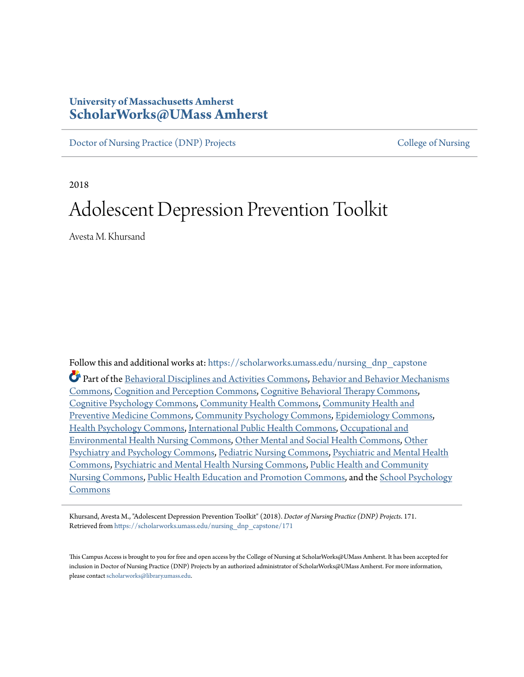# **University of Massachusetts Amherst [ScholarWorks@UMass Amherst](https://scholarworks.umass.edu?utm_source=scholarworks.umass.edu%2Fnursing_dnp_capstone%2F171&utm_medium=PDF&utm_campaign=PDFCoverPages)**

[Doctor of Nursing Practice \(DNP\) Projects](https://scholarworks.umass.edu/nursing_dnp_capstone?utm_source=scholarworks.umass.edu%2Fnursing_dnp_capstone%2F171&utm_medium=PDF&utm_campaign=PDFCoverPages) [College of Nursing](https://scholarworks.umass.edu/nursing?utm_source=scholarworks.umass.edu%2Fnursing_dnp_capstone%2F171&utm_medium=PDF&utm_campaign=PDFCoverPages)

2018

# Adolescent Depression Prevention Toolkit

Avesta M. Khursand

Follow this and additional works at: [https://scholarworks.umass.edu/nursing\\_dnp\\_capstone](https://scholarworks.umass.edu/nursing_dnp_capstone?utm_source=scholarworks.umass.edu%2Fnursing_dnp_capstone%2F171&utm_medium=PDF&utm_campaign=PDFCoverPages) Part of the [Behavioral Disciplines and Activities Commons,](http://network.bepress.com/hgg/discipline/980?utm_source=scholarworks.umass.edu%2Fnursing_dnp_capstone%2F171&utm_medium=PDF&utm_campaign=PDFCoverPages) [Behavior and Behavior Mechanisms](http://network.bepress.com/hgg/discipline/963?utm_source=scholarworks.umass.edu%2Fnursing_dnp_capstone%2F171&utm_medium=PDF&utm_campaign=PDFCoverPages) [Commons,](http://network.bepress.com/hgg/discipline/963?utm_source=scholarworks.umass.edu%2Fnursing_dnp_capstone%2F171&utm_medium=PDF&utm_campaign=PDFCoverPages) [Cognition and Perception Commons,](http://network.bepress.com/hgg/discipline/407?utm_source=scholarworks.umass.edu%2Fnursing_dnp_capstone%2F171&utm_medium=PDF&utm_campaign=PDFCoverPages) [Cognitive Behavioral Therapy Commons](http://network.bepress.com/hgg/discipline/1078?utm_source=scholarworks.umass.edu%2Fnursing_dnp_capstone%2F171&utm_medium=PDF&utm_campaign=PDFCoverPages), [Cognitive Psychology Commons](http://network.bepress.com/hgg/discipline/408?utm_source=scholarworks.umass.edu%2Fnursing_dnp_capstone%2F171&utm_medium=PDF&utm_campaign=PDFCoverPages), [Community Health Commons](http://network.bepress.com/hgg/discipline/714?utm_source=scholarworks.umass.edu%2Fnursing_dnp_capstone%2F171&utm_medium=PDF&utm_campaign=PDFCoverPages), [Community Health and](http://network.bepress.com/hgg/discipline/744?utm_source=scholarworks.umass.edu%2Fnursing_dnp_capstone%2F171&utm_medium=PDF&utm_campaign=PDFCoverPages) [Preventive Medicine Commons](http://network.bepress.com/hgg/discipline/744?utm_source=scholarworks.umass.edu%2Fnursing_dnp_capstone%2F171&utm_medium=PDF&utm_campaign=PDFCoverPages), [Community Psychology Commons](http://network.bepress.com/hgg/discipline/409?utm_source=scholarworks.umass.edu%2Fnursing_dnp_capstone%2F171&utm_medium=PDF&utm_campaign=PDFCoverPages), [Epidemiology Commons,](http://network.bepress.com/hgg/discipline/740?utm_source=scholarworks.umass.edu%2Fnursing_dnp_capstone%2F171&utm_medium=PDF&utm_campaign=PDFCoverPages) [Health Psychology Commons,](http://network.bepress.com/hgg/discipline/411?utm_source=scholarworks.umass.edu%2Fnursing_dnp_capstone%2F171&utm_medium=PDF&utm_campaign=PDFCoverPages) [International Public Health Commons,](http://network.bepress.com/hgg/discipline/746?utm_source=scholarworks.umass.edu%2Fnursing_dnp_capstone%2F171&utm_medium=PDF&utm_campaign=PDFCoverPages) [Occupational and](http://network.bepress.com/hgg/discipline/728?utm_source=scholarworks.umass.edu%2Fnursing_dnp_capstone%2F171&utm_medium=PDF&utm_campaign=PDFCoverPages) [Environmental Health Nursing Commons](http://network.bepress.com/hgg/discipline/728?utm_source=scholarworks.umass.edu%2Fnursing_dnp_capstone%2F171&utm_medium=PDF&utm_campaign=PDFCoverPages), [Other Mental and Social Health Commons,](http://network.bepress.com/hgg/discipline/717?utm_source=scholarworks.umass.edu%2Fnursing_dnp_capstone%2F171&utm_medium=PDF&utm_campaign=PDFCoverPages) [Other](http://network.bepress.com/hgg/discipline/992?utm_source=scholarworks.umass.edu%2Fnursing_dnp_capstone%2F171&utm_medium=PDF&utm_campaign=PDFCoverPages) [Psychiatry and Psychology Commons,](http://network.bepress.com/hgg/discipline/992?utm_source=scholarworks.umass.edu%2Fnursing_dnp_capstone%2F171&utm_medium=PDF&utm_campaign=PDFCoverPages) [Pediatric Nursing Commons](http://network.bepress.com/hgg/discipline/723?utm_source=scholarworks.umass.edu%2Fnursing_dnp_capstone%2F171&utm_medium=PDF&utm_campaign=PDFCoverPages), [Psychiatric and Mental Health](http://network.bepress.com/hgg/discipline/711?utm_source=scholarworks.umass.edu%2Fnursing_dnp_capstone%2F171&utm_medium=PDF&utm_campaign=PDFCoverPages) [Commons,](http://network.bepress.com/hgg/discipline/711?utm_source=scholarworks.umass.edu%2Fnursing_dnp_capstone%2F171&utm_medium=PDF&utm_campaign=PDFCoverPages) [Psychiatric and Mental Health Nursing Commons,](http://network.bepress.com/hgg/discipline/724?utm_source=scholarworks.umass.edu%2Fnursing_dnp_capstone%2F171&utm_medium=PDF&utm_campaign=PDFCoverPages) [Public Health and Community](http://network.bepress.com/hgg/discipline/725?utm_source=scholarworks.umass.edu%2Fnursing_dnp_capstone%2F171&utm_medium=PDF&utm_campaign=PDFCoverPages) [Nursing Commons,](http://network.bepress.com/hgg/discipline/725?utm_source=scholarworks.umass.edu%2Fnursing_dnp_capstone%2F171&utm_medium=PDF&utm_campaign=PDFCoverPages) [Public Health Education and Promotion Commons](http://network.bepress.com/hgg/discipline/743?utm_source=scholarworks.umass.edu%2Fnursing_dnp_capstone%2F171&utm_medium=PDF&utm_campaign=PDFCoverPages), and the [School Psychology](http://network.bepress.com/hgg/discipline/1072?utm_source=scholarworks.umass.edu%2Fnursing_dnp_capstone%2F171&utm_medium=PDF&utm_campaign=PDFCoverPages) [Commons](http://network.bepress.com/hgg/discipline/1072?utm_source=scholarworks.umass.edu%2Fnursing_dnp_capstone%2F171&utm_medium=PDF&utm_campaign=PDFCoverPages)

Khursand, Avesta M., "Adolescent Depression Prevention Toolkit" (2018). *Doctor of Nursing Practice (DNP) Projects*. 171. Retrieved from [https://scholarworks.umass.edu/nursing\\_dnp\\_capstone/171](https://scholarworks.umass.edu/nursing_dnp_capstone/171?utm_source=scholarworks.umass.edu%2Fnursing_dnp_capstone%2F171&utm_medium=PDF&utm_campaign=PDFCoverPages)

This Campus Access is brought to you for free and open access by the College of Nursing at ScholarWorks@UMass Amherst. It has been accepted for inclusion in Doctor of Nursing Practice (DNP) Projects by an authorized administrator of ScholarWorks@UMass Amherst. For more information, please contact [scholarworks@library.umass.edu.](mailto:scholarworks@library.umass.edu)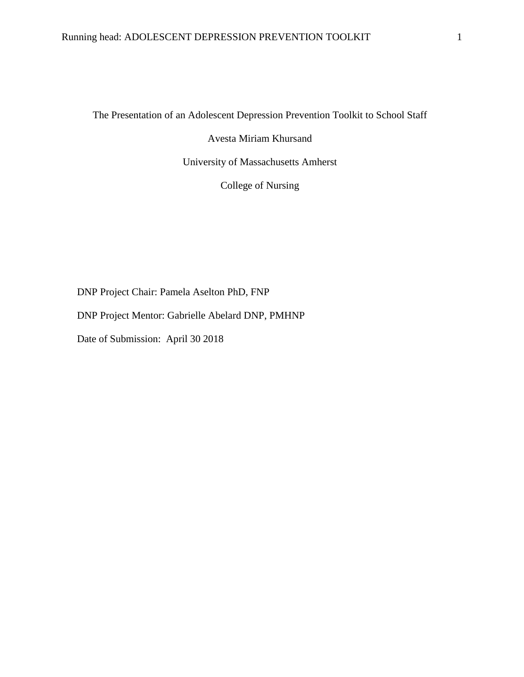The Presentation of an Adolescent Depression Prevention Toolkit to School Staff

Avesta Miriam Khursand

University of Massachusetts Amherst

College of Nursing

DNP Project Chair: Pamela Aselton PhD, FNP

DNP Project Mentor: Gabrielle Abelard DNP, PMHNP

Date of Submission: April 30 2018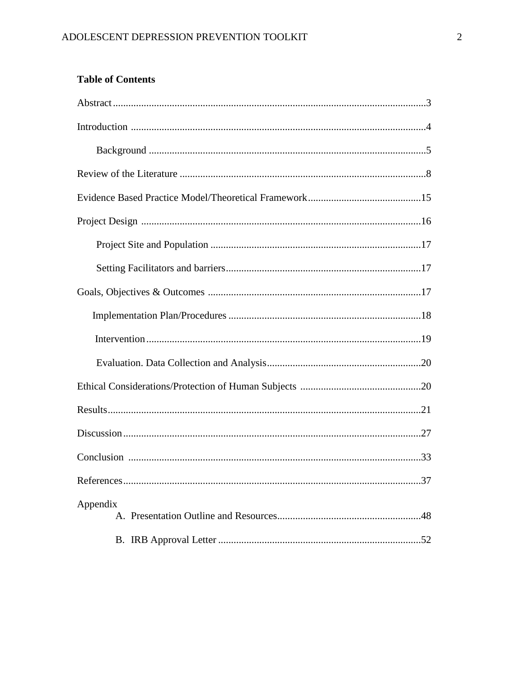# **Table of Contents**

| Appendix |
|----------|
|          |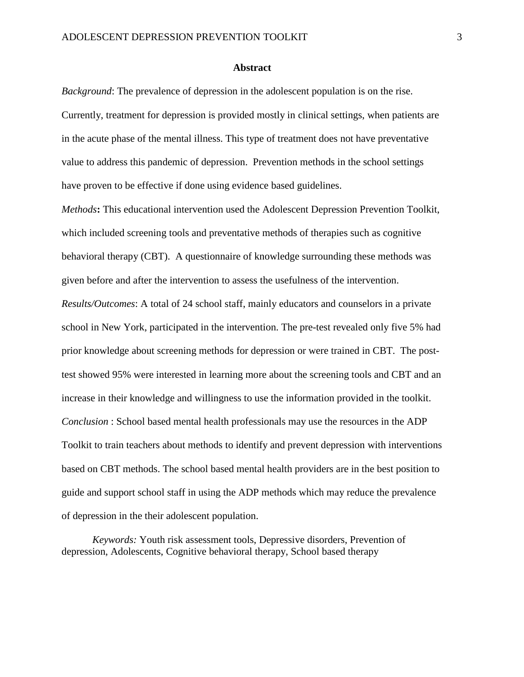#### **Abstract**

*Background*: The prevalence of depression in the adolescent population is on the rise. Currently, treatment for depression is provided mostly in clinical settings, when patients are in the acute phase of the mental illness. This type of treatment does not have preventative value to address this pandemic of depression. Prevention methods in the school settings have proven to be effective if done using evidence based guidelines.

*Methods***:** This educational intervention used the Adolescent Depression Prevention Toolkit, which included screening tools and preventative methods of therapies such as cognitive behavioral therapy (CBT). A questionnaire of knowledge surrounding these methods was given before and after the intervention to assess the usefulness of the intervention. *Results/Outcomes*: A total of 24 school staff, mainly educators and counselors in a private school in New York, participated in the intervention. The pre-test revealed only five 5% had prior knowledge about screening methods for depression or were trained in CBT. The posttest showed 95% were interested in learning more about the screening tools and CBT and an increase in their knowledge and willingness to use the information provided in the toolkit. *Conclusion* : School based mental health professionals may use the resources in the ADP Toolkit to train teachers about methods to identify and prevent depression with interventions based on CBT methods. The school based mental health providers are in the best position to guide and support school staff in using the ADP methods which may reduce the prevalence of depression in the their adolescent population.

*Keywords:* Youth risk assessment tools, Depressive disorders, Prevention of depression, Adolescents, Cognitive behavioral therapy, School based therapy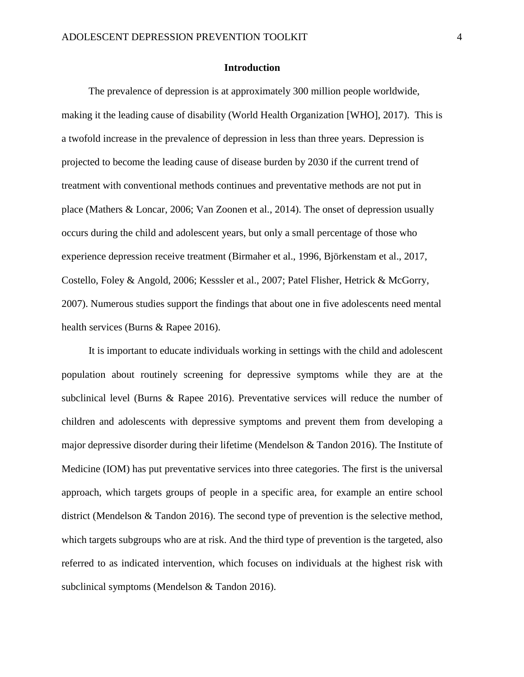#### **Introduction**

The prevalence of depression is at approximately 300 million people worldwide, making it the leading cause of disability (World Health Organization [WHO], 2017). This is a twofold increase in the prevalence of depression in less than three years. Depression is projected to become the leading cause of disease burden by 2030 if the current trend of treatment with conventional methods continues and preventative methods are not put in place (Mathers & Loncar, 2006; Van Zoonen et al., 2014). The onset of depression usually occurs during the child and adolescent years, but only a small percentage of those who experience depression receive treatment (Birmaher et al., 1996, Björkenstam et al., 2017, Costello, Foley & Angold, 2006; Kesssler et al., 2007; Patel Flisher, Hetrick & McGorry, 2007). Numerous studies support the findings that about one in five adolescents need mental health services (Burns & Rapee 2016).

It is important to educate individuals working in settings with the child and adolescent population about routinely screening for depressive symptoms while they are at the subclinical level (Burns & Rapee 2016). Preventative services will reduce the number of children and adolescents with depressive symptoms and prevent them from developing a major depressive disorder during their lifetime (Mendelson & Tandon 2016). The Institute of Medicine (IOM) has put preventative services into three categories. The first is the universal approach, which targets groups of people in a specific area, for example an entire school district (Mendelson & Tandon 2016). The second type of prevention is the selective method, which targets subgroups who are at risk. And the third type of prevention is the targeted, also referred to as indicated intervention, which focuses on individuals at the highest risk with subclinical symptoms (Mendelson & Tandon 2016).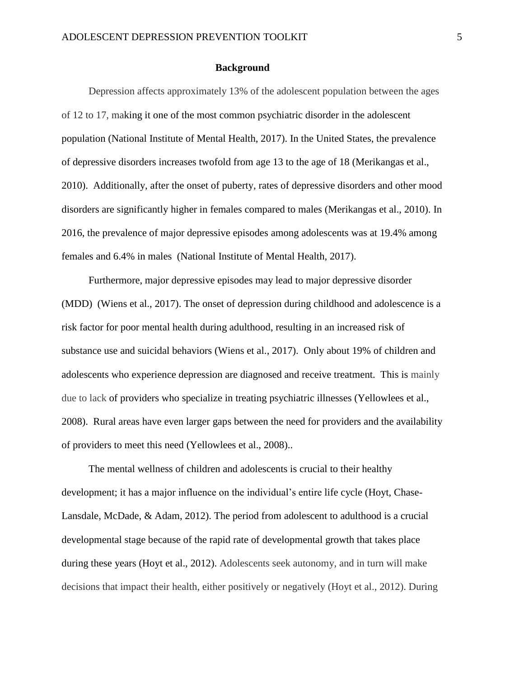#### **Background**

Depression affects approximately 13% of the adolescent population between the ages of 12 to 17, making it one of the most common psychiatric disorder in the adolescent population (National Institute of Mental Health, 2017). In the United States, the prevalence of depressive disorders increases twofold from age 13 to the age of 18 (Merikangas et al., 2010). Additionally, after the onset of puberty, rates of depressive disorders and other mood disorders are significantly higher in females compared to males (Merikangas et al., 2010). In 2016, the prevalence of major depressive episodes among adolescents was at 19.4% among females and 6.4% in males (National Institute of Mental Health, 2017).

Furthermore, major depressive episodes may lead to major depressive disorder (MDD) (Wiens et al., 2017). The onset of depression during childhood and adolescence is a risk factor for poor mental health during adulthood, resulting in an increased risk of substance use and suicidal behaviors (Wiens et al., 2017). Only about 19% of children and adolescents who experience depression are diagnosed and receive treatment. This is mainly due to lack of providers who specialize in treating psychiatric illnesses (Yellowlees et al., 2008). Rural areas have even larger gaps between the need for providers and the availability of providers to meet this need (Yellowlees et al., 2008)..

The mental wellness of children and adolescents is crucial to their healthy development; it has a major influence on the individual's entire life cycle (Hoyt, Chase-Lansdale, McDade, & Adam, 2012). The period from adolescent to adulthood is a crucial developmental stage because of the rapid rate of developmental growth that takes place during these years (Hoyt et al., 2012). Adolescents seek autonomy, and in turn will make decisions that impact their health, either positively or negatively (Hoyt et al., 2012). During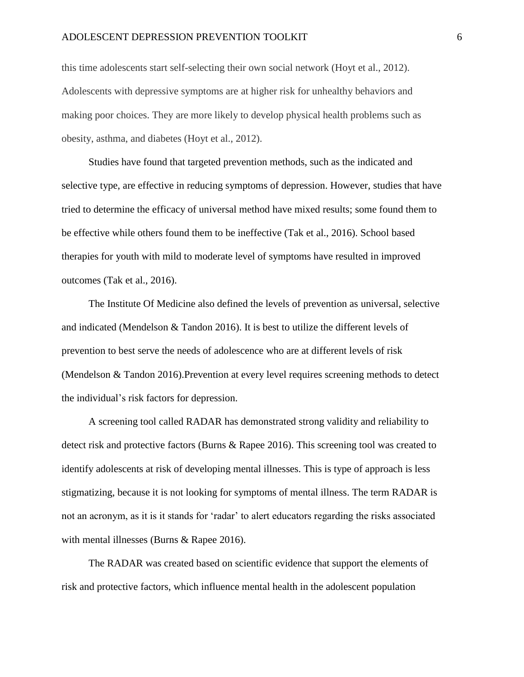#### ADOLESCENT DEPRESSION PREVENTION TOOLKIT 6

this time adolescents start self-selecting their own social network (Hoyt et al., 2012). Adolescents with depressive symptoms are at higher risk for unhealthy behaviors and making poor choices. They are more likely to develop physical health problems such as obesity, asthma, and diabetes (Hoyt et al., 2012).

Studies have found that targeted prevention methods, such as the indicated and selective type, are effective in reducing symptoms of depression. However, studies that have tried to determine the efficacy of universal method have mixed results; some found them to be effective while others found them to be ineffective (Tak et al., 2016). School based therapies for youth with mild to moderate level of symptoms have resulted in improved outcomes (Tak et al., 2016).

The Institute Of Medicine also defined the levels of prevention as universal, selective and indicated (Mendelson & Tandon 2016). It is best to utilize the different levels of prevention to best serve the needs of adolescence who are at different levels of risk (Mendelson & Tandon 2016).Prevention at every level requires screening methods to detect the individual's risk factors for depression.

A screening tool called RADAR has demonstrated strong validity and reliability to detect risk and protective factors (Burns & Rapee 2016). This screening tool was created to identify adolescents at risk of developing mental illnesses. This is type of approach is less stigmatizing, because it is not looking for symptoms of mental illness. The term RADAR is not an acronym, as it is it stands for 'radar' to alert educators regarding the risks associated with mental illnesses (Burns & Rapee 2016).

The RADAR was created based on scientific evidence that support the elements of risk and protective factors, which influence mental health in the adolescent population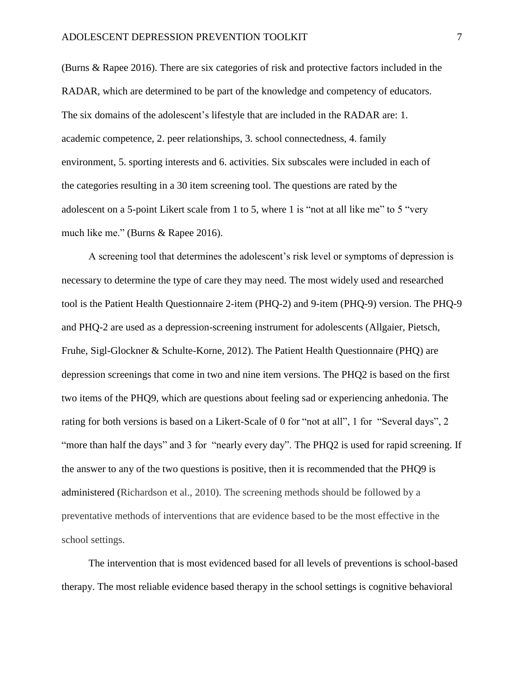(Burns & Rapee 2016). There are six categories of risk and protective factors included in the RADAR, which are determined to be part of the knowledge and competency of educators. The six domains of the adolescent's lifestyle that are included in the RADAR are: 1. academic competence, 2. peer relationships, 3. school connectedness, 4. family environment, 5. sporting interests and 6. activities. Six subscales were included in each of the categories resulting in a 30 item screening tool. The questions are rated by the adolescent on a 5-point Likert scale from 1 to 5, where 1 is "not at all like me" to 5 "very much like me." (Burns & Rapee 2016).

A screening tool that determines the adolescent's risk level or symptoms of depression is necessary to determine the type of care they may need. The most widely used and researched tool is the Patient Health Questionnaire 2-item (PHQ-2) and 9-item (PHQ-9) version. The PHQ-9 and PHQ-2 are used as a depression-screening instrument for adolescents (Allgaier, Pietsch, Fruhe, Sigl-Glockner & Schulte-Korne, 2012). The Patient Health Questionnaire (PHQ) are depression screenings that come in two and nine item versions. The PHQ2 is based on the first two items of the PHQ9, which are questions about feeling sad or experiencing anhedonia. The rating for both versions is based on a Likert-Scale of 0 for "not at all", 1 for "Several days", 2 "more than half the days" and 3 for "nearly every day". The PHQ2 is used for rapid screening. If the answer to any of the two questions is positive, then it is recommended that the PHQ9 is administered (Richardson et al., 2010). The screening methods should be followed by a preventative methods of interventions that are evidence based to be the most effective in the school settings.

The intervention that is most evidenced based for all levels of preventions is school-based therapy. The most reliable evidence based therapy in the school settings is cognitive behavioral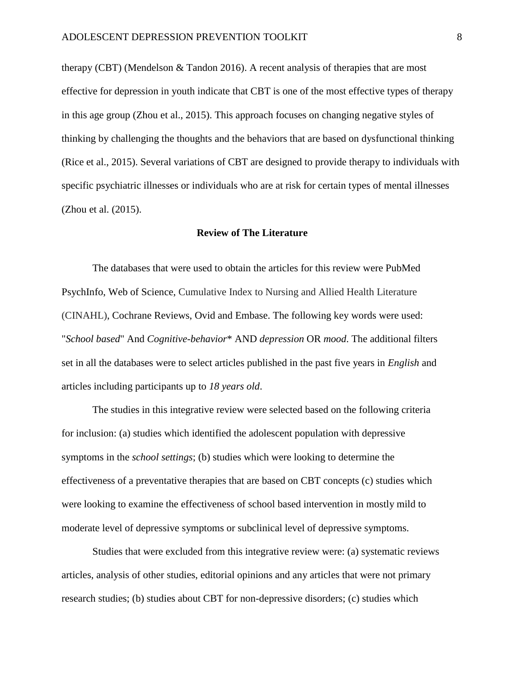therapy (CBT) (Mendelson & Tandon 2016). A recent analysis of therapies that are most effective for depression in youth indicate that CBT is one of the most effective types of therapy in this age group (Zhou et al., 2015). This approach focuses on changing negative styles of thinking by challenging the thoughts and the behaviors that are based on dysfunctional thinking (Rice et al., 2015). Several variations of CBT are designed to provide therapy to individuals with specific psychiatric illnesses or individuals who are at risk for certain types of mental illnesses (Zhou et al. (2015).

#### **Review of The Literature**

The databases that were used to obtain the articles for this review were PubMed PsychInfo, Web of Science, Cumulative Index to Nursing and Allied Health Literature (CINAHL), Cochrane Reviews, Ovid and Embase. The following key words were used: "*School based*" And *Cognitive-behavior*\* AND *depression* OR *mood*. The additional filters set in all the databases were to select articles published in the past five years in *English* and articles including participants up to *18 years old*.

The studies in this integrative review were selected based on the following criteria for inclusion: (a) studies which identified the adolescent population with depressive symptoms in the *school settings*; (b) studies which were looking to determine the effectiveness of a preventative therapies that are based on CBT concepts (c) studies which were looking to examine the effectiveness of school based intervention in mostly mild to moderate level of depressive symptoms or subclinical level of depressive symptoms.

Studies that were excluded from this integrative review were: (a) systematic reviews articles, analysis of other studies, editorial opinions and any articles that were not primary research studies; (b) studies about CBT for non-depressive disorders; (c) studies which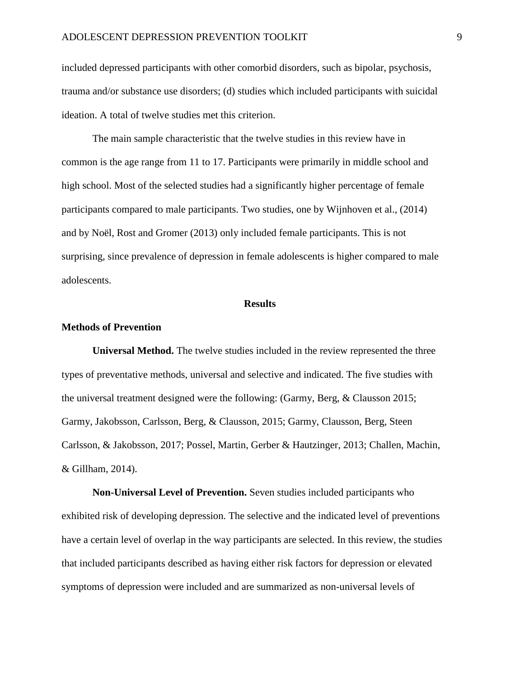included depressed participants with other comorbid disorders, such as bipolar, psychosis, trauma and/or substance use disorders; (d) studies which included participants with suicidal ideation. A total of twelve studies met this criterion.

The main sample characteristic that the twelve studies in this review have in common is the age range from 11 to 17. Participants were primarily in middle school and high school. Most of the selected studies had a significantly higher percentage of female participants compared to male participants. Two studies, one by Wijnhoven et al., (2014) and by Noël, Rost and Gromer (2013) only included female participants. This is not surprising, since prevalence of depression in female adolescents is higher compared to male adolescents.

#### **Results**

#### **Methods of Prevention**

**Universal Method.** The twelve studies included in the review represented the three types of preventative methods, universal and selective and indicated. The five studies with the universal treatment designed were the following: (Garmy, Berg, & Clausson 2015; Garmy, Jakobsson, Carlsson, Berg, & Clausson, 2015; Garmy, Clausson, Berg, Steen Carlsson, & Jakobsson, 2017; Possel, Martin, Gerber & Hautzinger, 2013; Challen, Machin, & Gillham, 2014).

**Non-Universal Level of Prevention.** Seven studies included participants who exhibited risk of developing depression. The selective and the indicated level of preventions have a certain level of overlap in the way participants are selected. In this review, the studies that included participants described as having either risk factors for depression or elevated symptoms of depression were included and are summarized as non-universal levels of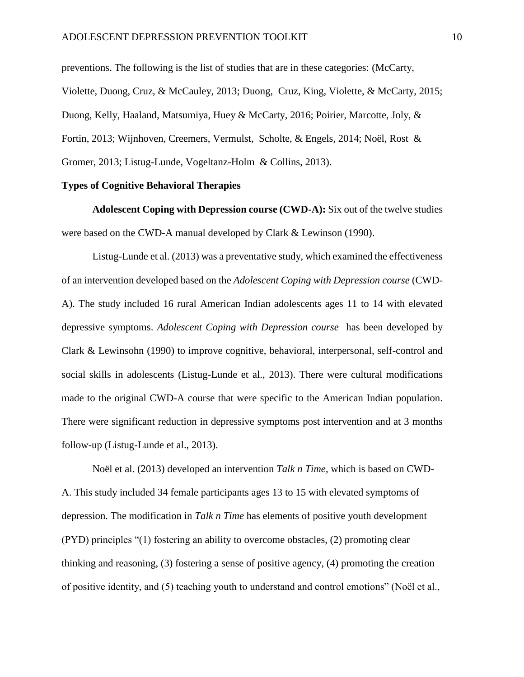preventions. The following is the list of studies that are in these categories: (McCarty, Violette, Duong, Cruz, & McCauley, 2013; Duong, Cruz, King, Violette, & McCarty, 2015; Duong, Kelly, Haaland, Matsumiya, Huey & McCarty, 2016; Poirier, Marcotte, Joly, & Fortin, 2013; Wijnhoven, Creemers, Vermulst, Scholte, & Engels, 2014; Noël, Rost & Gromer, 2013; Listug-Lunde, Vogeltanz-Holm & Collins, 2013).

#### **Types of Cognitive Behavioral Therapies**

**Adolescent Coping with Depression course (CWD-A):** Six out of the twelve studies were based on the CWD-A manual developed by Clark & Lewinson (1990).

Listug-Lunde et al. (2013) was a preventative study, which examined the effectiveness of an intervention developed based on the *Adolescent Coping with Depression course* (CWD-A). The study included 16 rural American Indian adolescents ages 11 to 14 with elevated depressive symptoms. *Adolescent Coping with Depression course* has been developed by Clark & Lewinsohn (1990) to improve cognitive, behavioral, interpersonal, self-control and social skills in adolescents (Listug-Lunde et al., 2013). There were cultural modifications made to the original CWD-A course that were specific to the American Indian population. There were significant reduction in depressive symptoms post intervention and at 3 months follow-up (Listug-Lunde et al., 2013).

Noël et al. (2013) developed an intervention *Talk n Time*, which is based on CWD-A. This study included 34 female participants ages 13 to 15 with elevated symptoms of depression. The modification in *Talk n Time* has elements of positive youth development (PYD) principles "(1) fostering an ability to overcome obstacles, (2) promoting clear thinking and reasoning, (3) fostering a sense of positive agency, (4) promoting the creation of positive identity, and (5) teaching youth to understand and control emotions" (Noël et al.,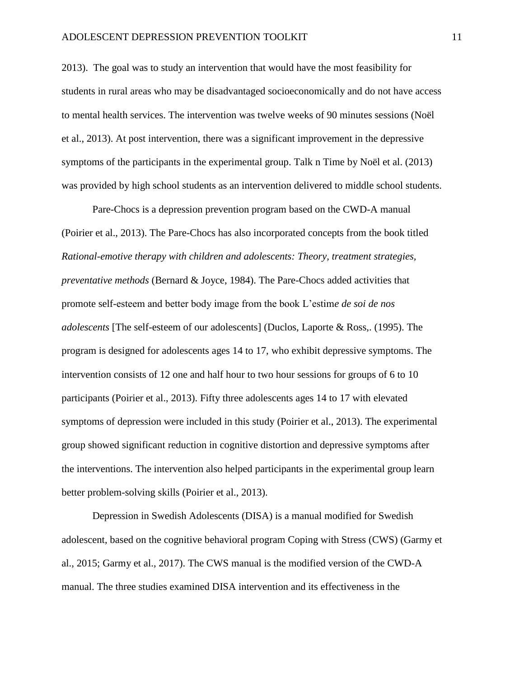2013). The goal was to study an intervention that would have the most feasibility for students in rural areas who may be disadvantaged socioeconomically and do not have access to mental health services. The intervention was twelve weeks of 90 minutes sessions (Noël et al., 2013). At post intervention, there was a significant improvement in the depressive symptoms of the participants in the experimental group. Talk n Time by Noël et al. (2013) was provided by high school students as an intervention delivered to middle school students.

Pare-Chocs is a depression prevention program based on the CWD-A manual (Poirier et al., 2013). The Pare-Chocs has also incorporated concepts from the book titled *Rational-emotive therapy with children and adolescents: Theory, treatment strategies, preventative methods* (Bernard & Joyce, 1984). The Pare-Chocs added activities that promote self-esteem and better body image from the book L'estim*e de soi de nos adolescents* [The self-esteem of our adolescents] (Duclos, Laporte & Ross,. (1995). The program is designed for adolescents ages 14 to 17, who exhibit depressive symptoms. The intervention consists of 12 one and half hour to two hour sessions for groups of 6 to 10 participants (Poirier et al., 2013). Fifty three adolescents ages 14 to 17 with elevated symptoms of depression were included in this study (Poirier et al., 2013). The experimental group showed significant reduction in cognitive distortion and depressive symptoms after the interventions. The intervention also helped participants in the experimental group learn better problem-solving skills (Poirier et al., 2013).

Depression in Swedish Adolescents (DISA) is a manual modified for Swedish adolescent, based on the cognitive behavioral program Coping with Stress (CWS) (Garmy et al., 2015; Garmy et al., 2017). The CWS manual is the modified version of the CWD-A manual. The three studies examined DISA intervention and its effectiveness in the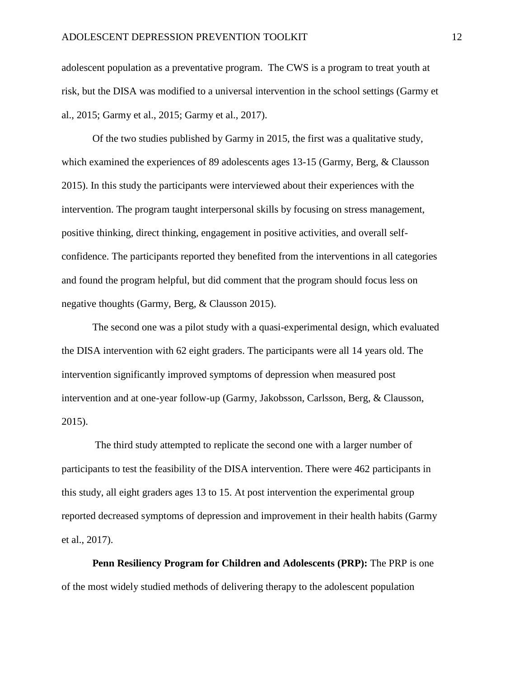adolescent population as a preventative program. The CWS is a program to treat youth at risk, but the DISA was modified to a universal intervention in the school settings (Garmy et al., 2015; Garmy et al., 2015; Garmy et al., 2017).

Of the two studies published by Garmy in 2015, the first was a qualitative study, which examined the experiences of 89 adolescents ages 13-15 (Garmy, Berg, & Clausson 2015). In this study the participants were interviewed about their experiences with the intervention. The program taught interpersonal skills by focusing on stress management, positive thinking, direct thinking, engagement in positive activities, and overall selfconfidence. The participants reported they benefited from the interventions in all categories and found the program helpful, but did comment that the program should focus less on negative thoughts (Garmy, Berg, & Clausson 2015).

The second one was a pilot study with a quasi-experimental design, which evaluated the DISA intervention with 62 eight graders. The participants were all 14 years old. The intervention significantly improved symptoms of depression when measured post intervention and at one-year follow-up (Garmy, Jakobsson, Carlsson, Berg, & Clausson, 2015).

The third study attempted to replicate the second one with a larger number of participants to test the feasibility of the DISA intervention. There were 462 participants in this study, all eight graders ages 13 to 15. At post intervention the experimental group reported decreased symptoms of depression and improvement in their health habits (Garmy et al., 2017).

**Penn Resiliency Program for Children and Adolescents (PRP):** The PRP is one of the most widely studied methods of delivering therapy to the adolescent population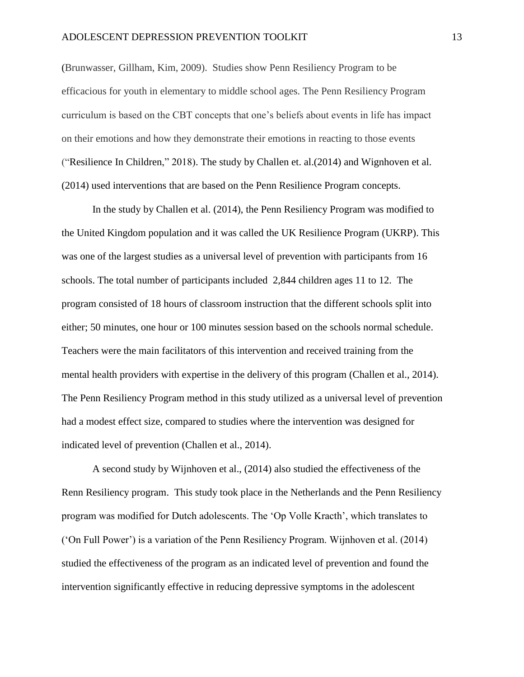(Brunwasser, Gillham, Kim, 2009). Studies show Penn Resiliency Program to be efficacious for youth in elementary to middle school ages. The Penn Resiliency Program curriculum is based on the CBT concepts that one's beliefs about events in life has impact on their emotions and how they demonstrate their emotions in reacting to those events ("Resilience In Children," 2018). The study by Challen et. al.(2014) and Wignhoven et al. (2014) used interventions that are based on the Penn Resilience Program concepts.

In the study by Challen et al. (2014), the Penn Resiliency Program was modified to the United Kingdom population and it was called the UK Resilience Program (UKRP). This was one of the largest studies as a universal level of prevention with participants from 16 schools. The total number of participants included 2,844 children ages 11 to 12. The program consisted of 18 hours of classroom instruction that the different schools split into either; 50 minutes, one hour or 100 minutes session based on the schools normal schedule. Teachers were the main facilitators of this intervention and received training from the mental health providers with expertise in the delivery of this program (Challen et al., 2014). The Penn Resiliency Program method in this study utilized as a universal level of prevention had a modest effect size, compared to studies where the intervention was designed for indicated level of prevention (Challen et al., 2014).

A second study by Wijnhoven et al., (2014) also studied the effectiveness of the Renn Resiliency program. This study took place in the Netherlands and the Penn Resiliency program was modified for Dutch adolescents. The 'Op Volle Kracth', which translates to ('On Full Power') is a variation of the Penn Resiliency Program. Wijnhoven et al. (2014) studied the effectiveness of the program as an indicated level of prevention and found the intervention significantly effective in reducing depressive symptoms in the adolescent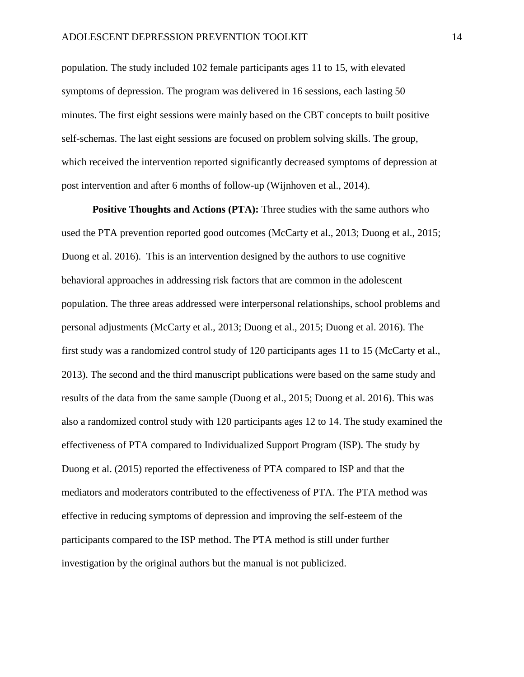population. The study included 102 female participants ages 11 to 15, with elevated symptoms of depression. The program was delivered in 16 sessions, each lasting 50 minutes. The first eight sessions were mainly based on the CBT concepts to built positive self-schemas. The last eight sessions are focused on problem solving skills. The group, which received the intervention reported significantly decreased symptoms of depression at post intervention and after 6 months of follow-up (Wijnhoven et al., 2014).

**Positive Thoughts and Actions (PTA):** Three studies with the same authors who used the PTA prevention reported good outcomes (McCarty et al., 2013; Duong et al., 2015; Duong et al. 2016). This is an intervention designed by the authors to use cognitive behavioral approaches in addressing risk factors that are common in the adolescent population. The three areas addressed were interpersonal relationships, school problems and personal adjustments (McCarty et al., 2013; Duong et al., 2015; Duong et al. 2016). The first study was a randomized control study of 120 participants ages 11 to 15 (McCarty et al., 2013). The second and the third manuscript publications were based on the same study and results of the data from the same sample (Duong et al., 2015; Duong et al. 2016). This was also a randomized control study with 120 participants ages 12 to 14. The study examined the effectiveness of PTA compared to Individualized Support Program (ISP). The study by Duong et al. (2015) reported the effectiveness of PTA compared to ISP and that the mediators and moderators contributed to the effectiveness of PTA. The PTA method was effective in reducing symptoms of depression and improving the self-esteem of the participants compared to the ISP method. The PTA method is still under further investigation by the original authors but the manual is not publicized.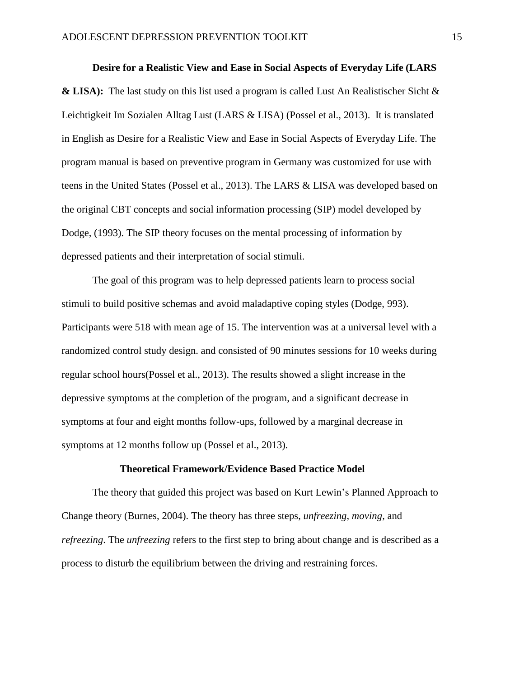#### **Desire for a Realistic View and Ease in Social Aspects of Everyday Life (LARS**

**& LISA):** The last study on this list used a program is called Lust An Realistischer Sicht & Leichtigkeit Im Sozialen Alltag Lust (LARS & LISA) (Possel et al., 2013). It is translated in English as Desire for a Realistic View and Ease in Social Aspects of Everyday Life. The program manual is based on preventive program in Germany was customized for use with teens in the United States (Possel et al., 2013). The LARS & LISA was developed based on the original CBT concepts and social information processing (SIP) model developed by Dodge, (1993). The SIP theory focuses on the mental processing of information by depressed patients and their interpretation of social stimuli.

The goal of this program was to help depressed patients learn to process social stimuli to build positive schemas and avoid maladaptive coping styles (Dodge, 993). Participants were 518 with mean age of 15. The intervention was at a universal level with a randomized control study design. and consisted of 90 minutes sessions for 10 weeks during regular school hours(Possel et al., 2013). The results showed a slight increase in the depressive symptoms at the completion of the program, and a significant decrease in symptoms at four and eight months follow-ups, followed by a marginal decrease in symptoms at 12 months follow up (Possel et al., 2013).

#### **Theoretical Framework/Evidence Based Practice Model**

The theory that guided this project was based on Kurt Lewin's Planned Approach to Change theory (Burnes, 2004). The theory has three steps, *unfreezing*, *moving,* and *refreezing*. The *unfreezing* refers to the first step to bring about change and is described as a process to disturb the equilibrium between the driving and restraining forces.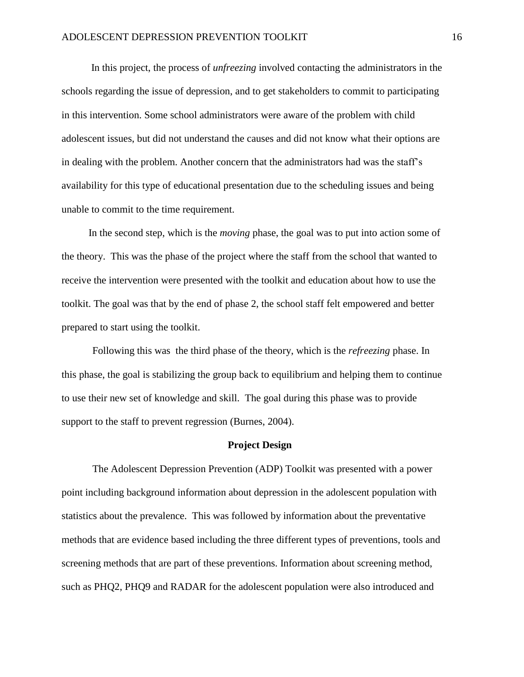In this project, the process of *unfreezing* involved contacting the administrators in the schools regarding the issue of depression, and to get stakeholders to commit to participating in this intervention. Some school administrators were aware of the problem with child adolescent issues, but did not understand the causes and did not know what their options are in dealing with the problem. Another concern that the administrators had was the staff's availability for this type of educational presentation due to the scheduling issues and being unable to commit to the time requirement.

In the second step, which is the *moving* phase, the goal was to put into action some of the theory. This was the phase of the project where the staff from the school that wanted to receive the intervention were presented with the toolkit and education about how to use the toolkit. The goal was that by the end of phase 2, the school staff felt empowered and better prepared to start using the toolkit.

Following this was the third phase of the theory, which is the *refreezing* phase. In this phase, the goal is stabilizing the group back to equilibrium and helping them to continue to use their new set of knowledge and skill. The goal during this phase was to provide support to the staff to prevent regression (Burnes, 2004).

#### **Project Design**

The Adolescent Depression Prevention (ADP) Toolkit was presented with a power point including background information about depression in the adolescent population with statistics about the prevalence. This was followed by information about the preventative methods that are evidence based including the three different types of preventions, tools and screening methods that are part of these preventions. Information about screening method, such as PHQ2, PHQ9 and RADAR for the adolescent population were also introduced and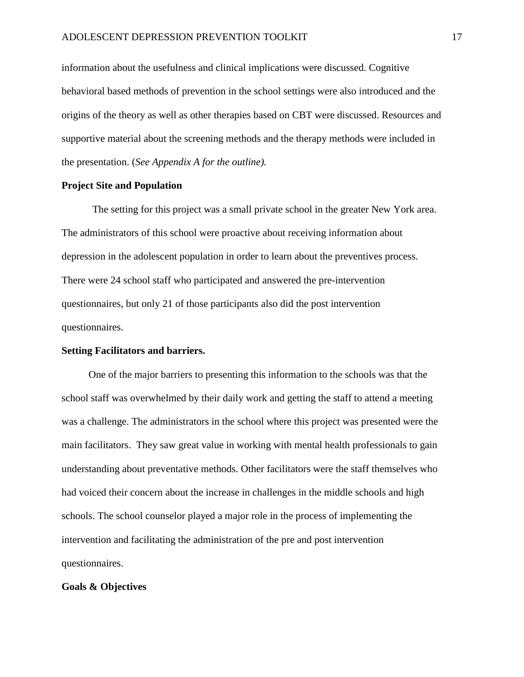information about the usefulness and clinical implications were discussed. Cognitive behavioral based methods of prevention in the school settings were also introduced and the origins of the theory as well as other therapies based on CBT were discussed. Resources and supportive material about the screening methods and the therapy methods were included in the presentation. (*See Appendix A for the outline).* 

#### **Project Site and Population**

The setting for this project was a small private school in the greater New York area. The administrators of this school were proactive about receiving information about depression in the adolescent population in order to learn about the preventives process. There were 24 school staff who participated and answered the pre-intervention questionnaires, but only 21 of those participants also did the post intervention questionnaires.

#### **Setting Facilitators and barriers.**

One of the major barriers to presenting this information to the schools was that the school staff was overwhelmed by their daily work and getting the staff to attend a meeting was a challenge. The administrators in the school where this project was presented were the main facilitators. They saw great value in working with mental health professionals to gain understanding about preventative methods. Other facilitators were the staff themselves who had voiced their concern about the increase in challenges in the middle schools and high schools. The school counselor played a major role in the process of implementing the intervention and facilitating the administration of the pre and post intervention questionnaires.

#### **Goals & Objectives**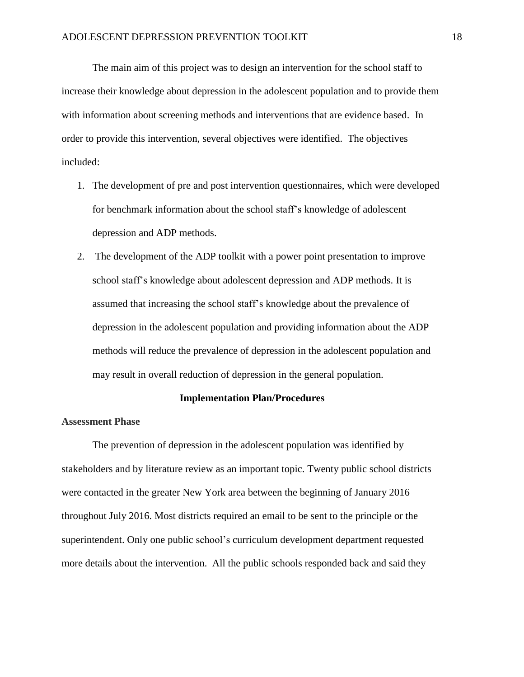The main aim of this project was to design an intervention for the school staff to increase their knowledge about depression in the adolescent population and to provide them with information about screening methods and interventions that are evidence based. In order to provide this intervention, several objectives were identified. The objectives included:

- 1. The development of pre and post intervention questionnaires, which were developed for benchmark information about the school staff's knowledge of adolescent depression and ADP methods.
- 2. The development of the ADP toolkit with a power point presentation to improve school staff's knowledge about adolescent depression and ADP methods. It is assumed that increasing the school staff's knowledge about the prevalence of depression in the adolescent population and providing information about the ADP methods will reduce the prevalence of depression in the adolescent population and may result in overall reduction of depression in the general population.

#### **Implementation Plan/Procedures**

#### **Assessment Phase**

The prevention of depression in the adolescent population was identified by stakeholders and by literature review as an important topic. Twenty public school districts were contacted in the greater New York area between the beginning of January 2016 throughout July 2016. Most districts required an email to be sent to the principle or the superintendent. Only one public school's curriculum development department requested more details about the intervention. All the public schools responded back and said they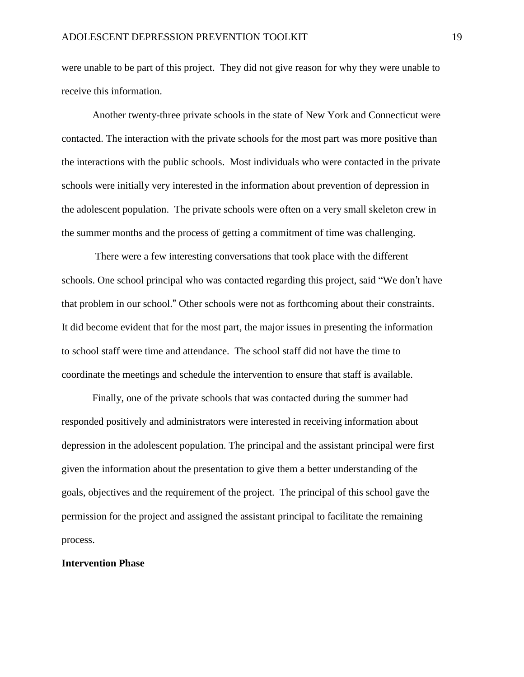were unable to be part of this project. They did not give reason for why they were unable to receive this information.

Another twenty-three private schools in the state of New York and Connecticut were contacted. The interaction with the private schools for the most part was more positive than the interactions with the public schools. Most individuals who were contacted in the private schools were initially very interested in the information about prevention of depression in the adolescent population. The private schools were often on a very small skeleton crew in the summer months and the process of getting a commitment of time was challenging.

There were a few interesting conversations that took place with the different schools. One school principal who was contacted regarding this project, said "We don't have that problem in our school." Other schools were not as forthcoming about their constraints. It did become evident that for the most part, the major issues in presenting the information to school staff were time and attendance. The school staff did not have the time to coordinate the meetings and schedule the intervention to ensure that staff is available.

Finally, one of the private schools that was contacted during the summer had responded positively and administrators were interested in receiving information about depression in the adolescent population. The principal and the assistant principal were first given the information about the presentation to give them a better understanding of the goals, objectives and the requirement of the project. The principal of this school gave the permission for the project and assigned the assistant principal to facilitate the remaining process.

#### **Intervention Phase**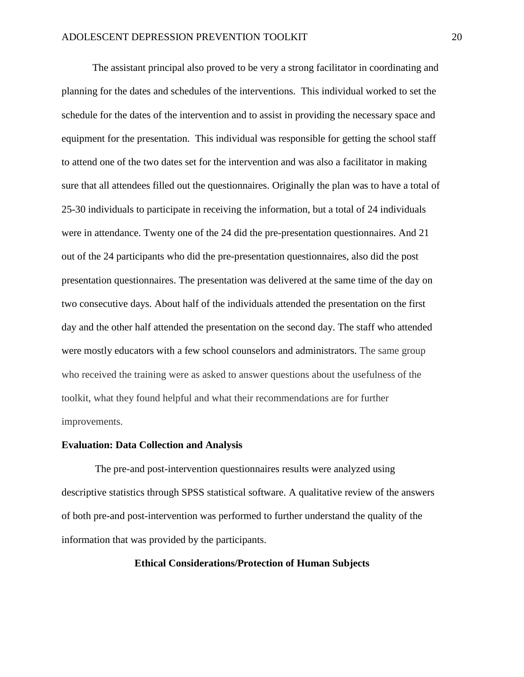The assistant principal also proved to be very a strong facilitator in coordinating and planning for the dates and schedules of the interventions. This individual worked to set the schedule for the dates of the intervention and to assist in providing the necessary space and equipment for the presentation. This individual was responsible for getting the school staff to attend one of the two dates set for the intervention and was also a facilitator in making sure that all attendees filled out the questionnaires. Originally the plan was to have a total of 25-30 individuals to participate in receiving the information, but a total of 24 individuals were in attendance. Twenty one of the 24 did the pre-presentation questionnaires. And 21 out of the 24 participants who did the pre-presentation questionnaires, also did the post presentation questionnaires. The presentation was delivered at the same time of the day on two consecutive days. About half of the individuals attended the presentation on the first day and the other half attended the presentation on the second day. The staff who attended were mostly educators with a few school counselors and administrators. The same group who received the training were as asked to answer questions about the usefulness of the toolkit, what they found helpful and what their recommendations are for further improvements.

#### **Evaluation: Data Collection and Analysis**

The pre-and post-intervention questionnaires results were analyzed using descriptive statistics through SPSS statistical software. A qualitative review of the answers of both pre-and post-intervention was performed to further understand the quality of the information that was provided by the participants.

#### **Ethical Considerations/Protection of Human Subjects**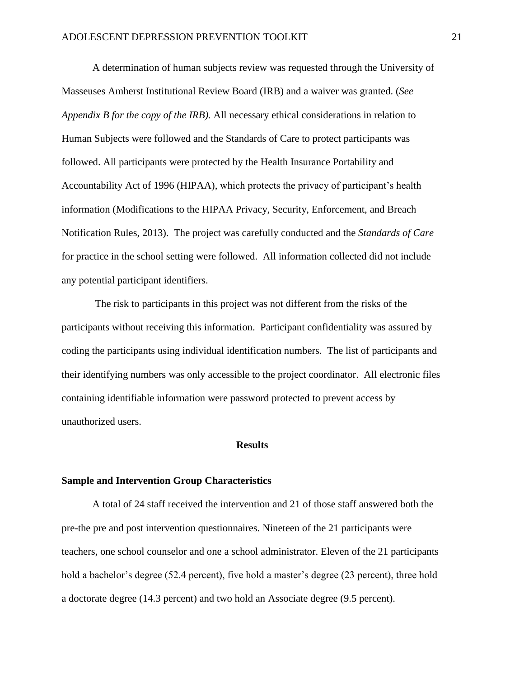A determination of human subjects review was requested through the University of Masseuses Amherst Institutional Review Board (IRB) and a waiver was granted. (*See Appendix B for the copy of the IRB).* All necessary ethical considerations in relation to Human Subjects were followed and the Standards of Care to protect participants was followed. All participants were protected by the Health Insurance Portability and Accountability Act of 1996 (HIPAA), which protects the privacy of participant's health information (Modifications to the HIPAA Privacy, Security, Enforcement, and Breach Notification Rules, 2013). The project was carefully conducted and the *Standards of Care*  for practice in the school setting were followed. All information collected did not include any potential participant identifiers.

The risk to participants in this project was not different from the risks of the participants without receiving this information. Participant confidentiality was assured by coding the participants using individual identification numbers. The list of participants and their identifying numbers was only accessible to the project coordinator. All electronic files containing identifiable information were password protected to prevent access by unauthorized users.

#### **Results**

#### **Sample and Intervention Group Characteristics**

A total of 24 staff received the intervention and 21 of those staff answered both the pre-the pre and post intervention questionnaires. Nineteen of the 21 participants were teachers, one school counselor and one a school administrator. Eleven of the 21 participants hold a bachelor's degree (52.4 percent), five hold a master's degree (23 percent), three hold a doctorate degree (14.3 percent) and two hold an Associate degree (9.5 percent).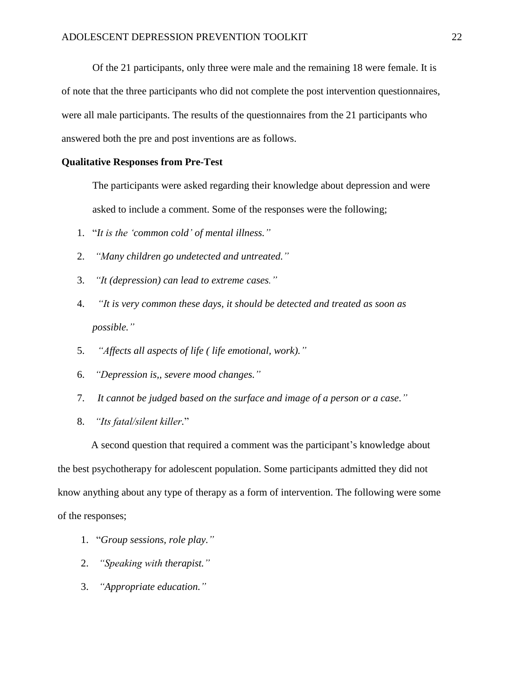Of the 21 participants, only three were male and the remaining 18 were female. It is of note that the three participants who did not complete the post intervention questionnaires, were all male participants. The results of the questionnaires from the 21 participants who answered both the pre and post inventions are as follows.

#### **Qualitative Responses from Pre-Test**

The participants were asked regarding their knowledge about depression and were asked to include a comment. Some of the responses were the following;

- 1. "*It is the 'common cold' of mental illness."*
- 2. *"Many children go undetected and untreated."*
- 3. *"It (depression) can lead to extreme cases."*
- 4. *"It is very common these days, it should be detected and treated as soon as possible."*
- 5. *"Affects all aspects of life ( life emotional, work)."*
- 6. *"Depression is,, severe mood changes."*
- 7. *It cannot be judged based on the surface and image of a person or a case."*
- 8. *"Its fatal/silent killer.*"

A second question that required a comment was the participant's knowledge about the best psychotherapy for adolescent population. Some participants admitted they did not know anything about any type of therapy as a form of intervention. The following were some of the responses;

- 1. "*Group sessions, role play."*
- 2. *"Speaking with therapist."*
- 3. *"Appropriate education."*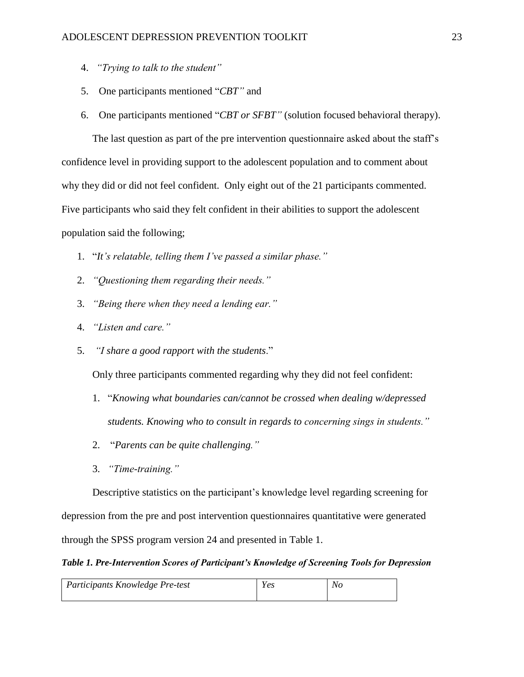- 4. *"Trying to talk to the student"*
- 5. One participants mentioned "*CBT"* and
- 6. One participants mentioned "*CBT or SFBT"* (solution focused behavioral therapy).

 The last question as part of the pre intervention questionnaire asked about the staff's confidence level in providing support to the adolescent population and to comment about why they did or did not feel confident. Only eight out of the 21 participants commented. Five participants who said they felt confident in their abilities to support the adolescent population said the following;

- 1. "*It's relatable, telling them I've passed a similar phase."*
- 2. *"Questioning them regarding their needs."*
- 3. *"Being there when they need a lending ear."*
- 4. *"Listen and care."*
- 5. *"I share a good rapport with the students*."

Only three participants commented regarding why they did not feel confident:

- 1. "*Knowing what boundaries can/cannot be crossed when dealing w/depressed students. Knowing who to consult in regards to concerning sings in students."*
- 2. "*Parents can be quite challenging."*
- 3. *"Time-training."*

Descriptive statistics on the participant's knowledge level regarding screening for depression from the pre and post intervention questionnaires quantitative were generated through the SPSS program version 24 and presented in Table 1.

#### *Table 1. Pre-Intervention Scores of Participant's Knowledge of Screening Tools for Depression*

| Participants Knowledge Pre-test | <b>Y es</b> | No |
|---------------------------------|-------------|----|
|                                 |             |    |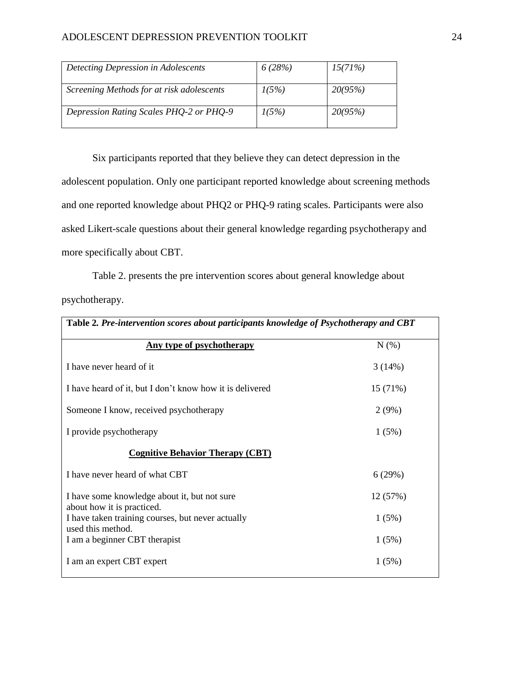| Detecting Depression in Adolescents       | 6(28%) | 15(71%) |
|-------------------------------------------|--------|---------|
| Screening Methods for at risk adolescents | 1(5%)  | 20(95%) |
| Depression Rating Scales PHQ-2 or PHQ-9   | 1(5%)  | 20(95%) |

Six participants reported that they believe they can detect depression in the adolescent population. Only one participant reported knowledge about screening methods and one reported knowledge about PHQ2 or PHQ-9 rating scales. Participants were also asked Likert-scale questions about their general knowledge regarding psychotherapy and more specifically about CBT.

Table 2. presents the pre intervention scores about general knowledge about psychotherapy.

| Table 2. Pre-intervention scores about participants knowledge of Psychotherapy and CBT |          |  |  |
|----------------------------------------------------------------------------------------|----------|--|--|
| Any type of psychotherapy                                                              | N(% )    |  |  |
| I have never heard of it                                                               | 3(14%)   |  |  |
| I have heard of it, but I don't know how it is delivered                               | 15(71%)  |  |  |
| Someone I know, received psychotherapy                                                 | 2(9%)    |  |  |
| I provide psychotherapy                                                                | 1(5%)    |  |  |
| <b>Cognitive Behavior Therapy (CBT)</b>                                                |          |  |  |
| I have never heard of what CBT                                                         | 6(29%)   |  |  |
| I have some knowledge about it, but not sure<br>about how it is practiced.             | 12 (57%) |  |  |
| I have taken training courses, but never actually<br>used this method.                 | 1(5%)    |  |  |
| I am a beginner CBT therapist                                                          | 1(5%)    |  |  |
| I am an expert CBT expert                                                              | 1(5%)    |  |  |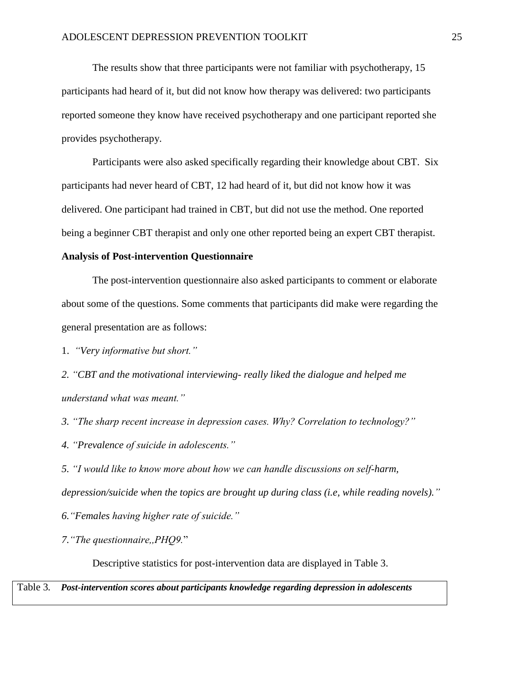The results show that three participants were not familiar with psychotherapy, 15 participants had heard of it, but did not know how therapy was delivered: two participants reported someone they know have received psychotherapy and one participant reported she provides psychotherapy.

Participants were also asked specifically regarding their knowledge about CBT. Six participants had never heard of CBT, 12 had heard of it, but did not know how it was delivered. One participant had trained in CBT, but did not use the method. One reported being a beginner CBT therapist and only one other reported being an expert CBT therapist.

#### **Analysis of Post-intervention Questionnaire**

The post-intervention questionnaire also asked participants to comment or elaborate about some of the questions. Some comments that participants did make were regarding the general presentation are as follows:

1. *"Very informative but short."*

*2. "CBT and the motivational interviewing- really liked the dialogue and helped me understand what was meant."*

*3. "The sharp recent increase in depression cases. Why? Correlation to technology?"*

*4. "Prevalence of suicide in adolescents."*

*5. "I would like to know more about how we can handle discussions on self-harm, depression/suicide when the topics are brought up during class (i.e, while reading novels)."* 

*6."Females having higher rate of suicide."*

*7."The questionnaire,,PHQ9.*"

Descriptive statistics for post-intervention data are displayed in Table 3.

Table 3*. Post-intervention scores about participants knowledge regarding depression in adolescents*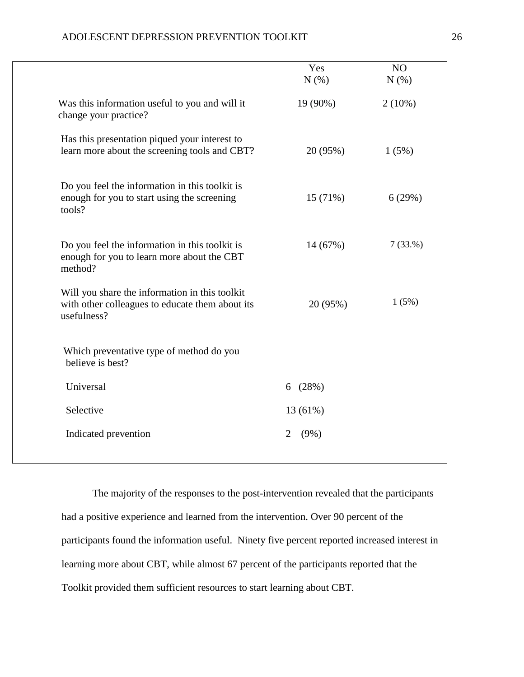| ADOLESCENT DEPRESSION PREVENTION TOOLKIT |  |
|------------------------------------------|--|
|------------------------------------------|--|

|                                                                                                                  | Yes<br>N(%)  | NO<br>N(%) |
|------------------------------------------------------------------------------------------------------------------|--------------|------------|
| Was this information useful to you and will it<br>change your practice?                                          | 19 (90%)     | $2(10\%)$  |
| Has this presentation piqued your interest to<br>learn more about the screening tools and CBT?                   | 20 (95%)     | 1(5%)      |
| Do you feel the information in this toolkit is<br>enough for you to start using the screening<br>tools?          | 15 (71%)     | 6(29%)     |
| Do you feel the information in this toolkit is<br>enough for you to learn more about the CBT<br>method?          | 14 (67%)     | 7(33.%)    |
| Will you share the information in this toolkit<br>with other colleagues to educate them about its<br>usefulness? | 20 (95%)     | 1(5%)      |
| Which preventative type of method do you<br>believe is best?                                                     |              |            |
| Universal                                                                                                        | (28%)<br>6   |            |
| Selective                                                                                                        | 13 (61%)     |            |
| Indicated prevention                                                                                             | 2<br>$(9\%)$ |            |

The majority of the responses to the post-intervention revealed that the participants had a positive experience and learned from the intervention. Over 90 percent of the participants found the information useful. Ninety five percent reported increased interest in learning more about CBT, while almost 67 percent of the participants reported that the Toolkit provided them sufficient resources to start learning about CBT.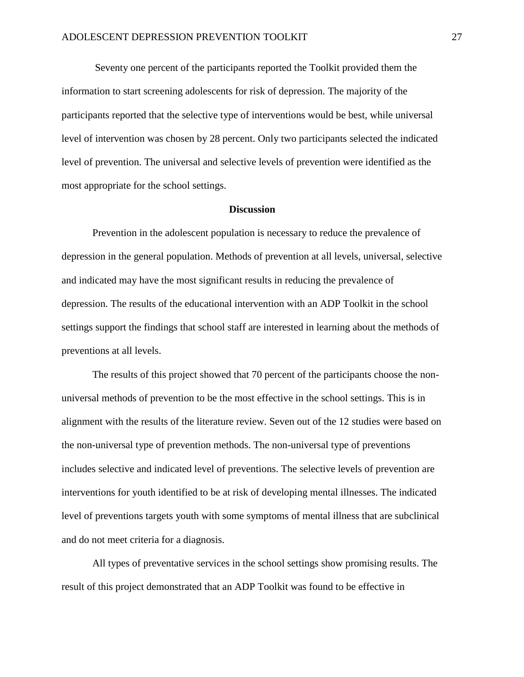Seventy one percent of the participants reported the Toolkit provided them the information to start screening adolescents for risk of depression. The majority of the participants reported that the selective type of interventions would be best, while universal level of intervention was chosen by 28 percent. Only two participants selected the indicated level of prevention. The universal and selective levels of prevention were identified as the most appropriate for the school settings.

#### **Discussion**

Prevention in the adolescent population is necessary to reduce the prevalence of depression in the general population. Methods of prevention at all levels, universal, selective and indicated may have the most significant results in reducing the prevalence of depression. The results of the educational intervention with an ADP Toolkit in the school settings support the findings that school staff are interested in learning about the methods of preventions at all levels.

The results of this project showed that 70 percent of the participants choose the nonuniversal methods of prevention to be the most effective in the school settings. This is in alignment with the results of the literature review. Seven out of the 12 studies were based on the non-universal type of prevention methods. The non-universal type of preventions includes selective and indicated level of preventions. The selective levels of prevention are interventions for youth identified to be at risk of developing mental illnesses. The indicated level of preventions targets youth with some symptoms of mental illness that are subclinical and do not meet criteria for a diagnosis.

All types of preventative services in the school settings show promising results. The result of this project demonstrated that an ADP Toolkit was found to be effective in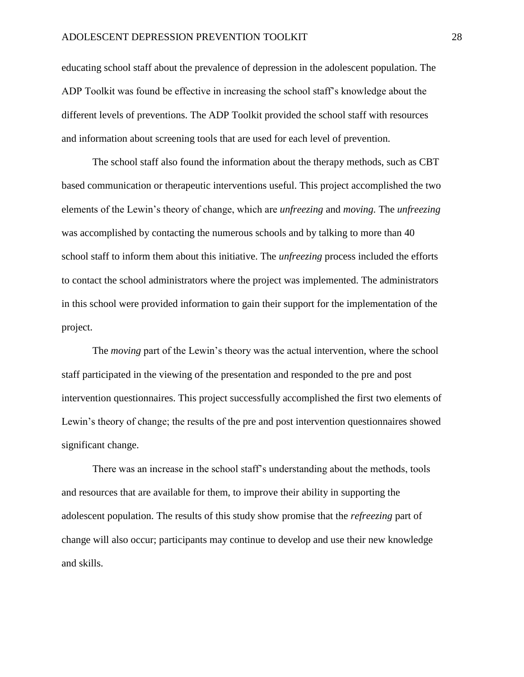educating school staff about the prevalence of depression in the adolescent population. The ADP Toolkit was found be effective in increasing the school staff's knowledge about the different levels of preventions. The ADP Toolkit provided the school staff with resources and information about screening tools that are used for each level of prevention.

The school staff also found the information about the therapy methods, such as CBT based communication or therapeutic interventions useful. This project accomplished the two elements of the Lewin's theory of change, which are *unfreezing* and *moving.* The *unfreezing*  was accomplished by contacting the numerous schools and by talking to more than 40 school staff to inform them about this initiative. The *unfreezing* process included the efforts to contact the school administrators where the project was implemented. The administrators in this school were provided information to gain their support for the implementation of the project.

The *moving* part of the Lewin's theory was the actual intervention, where the school staff participated in the viewing of the presentation and responded to the pre and post intervention questionnaires. This project successfully accomplished the first two elements of Lewin's theory of change; the results of the pre and post intervention questionnaires showed significant change.

There was an increase in the school staff's understanding about the methods, tools and resources that are available for them, to improve their ability in supporting the adolescent population. The results of this study show promise that the *refreezing* part of change will also occur; participants may continue to develop and use their new knowledge and skills.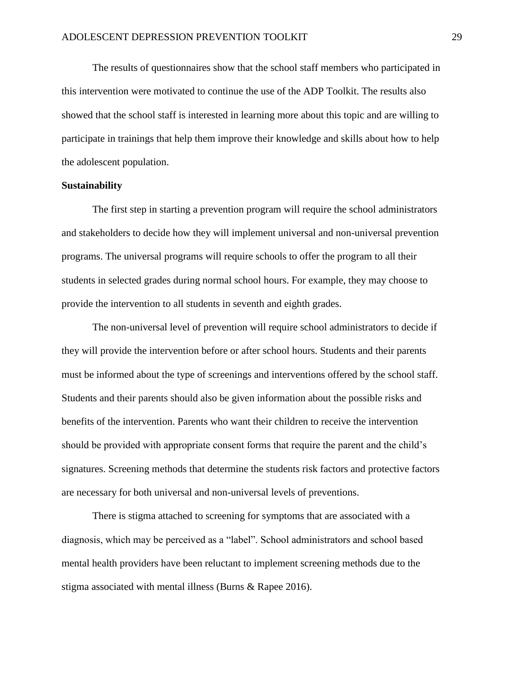The results of questionnaires show that the school staff members who participated in this intervention were motivated to continue the use of the ADP Toolkit. The results also showed that the school staff is interested in learning more about this topic and are willing to participate in trainings that help them improve their knowledge and skills about how to help the adolescent population.

#### **Sustainability**

The first step in starting a prevention program will require the school administrators and stakeholders to decide how they will implement universal and non-universal prevention programs. The universal programs will require schools to offer the program to all their students in selected grades during normal school hours. For example, they may choose to provide the intervention to all students in seventh and eighth grades.

The non-universal level of prevention will require school administrators to decide if they will provide the intervention before or after school hours. Students and their parents must be informed about the type of screenings and interventions offered by the school staff. Students and their parents should also be given information about the possible risks and benefits of the intervention. Parents who want their children to receive the intervention should be provided with appropriate consent forms that require the parent and the child's signatures. Screening methods that determine the students risk factors and protective factors are necessary for both universal and non-universal levels of preventions.

There is stigma attached to screening for symptoms that are associated with a diagnosis, which may be perceived as a "label". School administrators and school based mental health providers have been reluctant to implement screening methods due to the stigma associated with mental illness (Burns & Rapee 2016).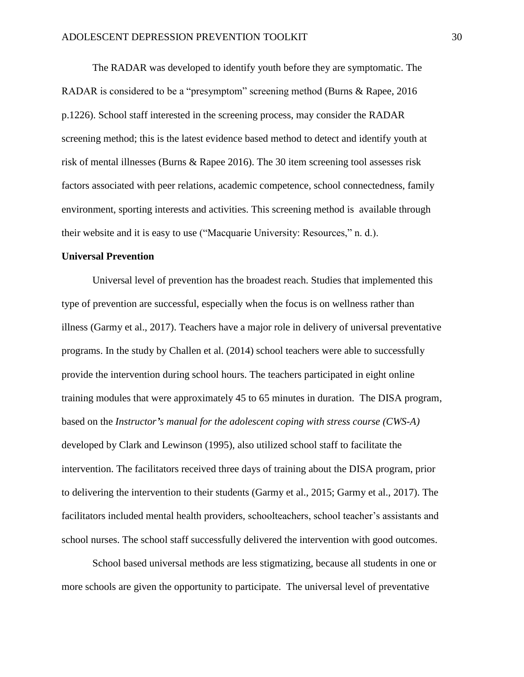The RADAR was developed to identify youth before they are symptomatic. The RADAR is considered to be a "presymptom" screening method (Burns & Rapee, 2016 p.1226). School staff interested in the screening process, may consider the RADAR screening method; this is the latest evidence based method to detect and identify youth at risk of mental illnesses (Burns & Rapee 2016). The 30 item screening tool assesses risk factors associated with peer relations, academic competence, school connectedness, family environment, sporting interests and activities. This screening method is available through their website and it is easy to use ("Macquarie University: Resources," n. d.).

#### **Universal Prevention**

Universal level of prevention has the broadest reach. Studies that implemented this type of prevention are successful, especially when the focus is on wellness rather than illness (Garmy et al., 2017). Teachers have a major role in delivery of universal preventative programs. In the study by Challen et al. (2014) school teachers were able to successfully provide the intervention during school hours. The teachers participated in eight online training modules that were approximately 45 to 65 minutes in duration. The DISA program, based on the *Instructor's manual for the adolescent coping with stress course (CWS-A)* developed by Clark and Lewinson (1995), also utilized school staff to facilitate the intervention. The facilitators received three days of training about the DISA program, prior to delivering the intervention to their students (Garmy et al., 2015; Garmy et al., 2017). The facilitators included mental health providers, schoolteachers, school teacher's assistants and school nurses. The school staff successfully delivered the intervention with good outcomes.

School based universal methods are less stigmatizing, because all students in one or more schools are given the opportunity to participate. The universal level of preventative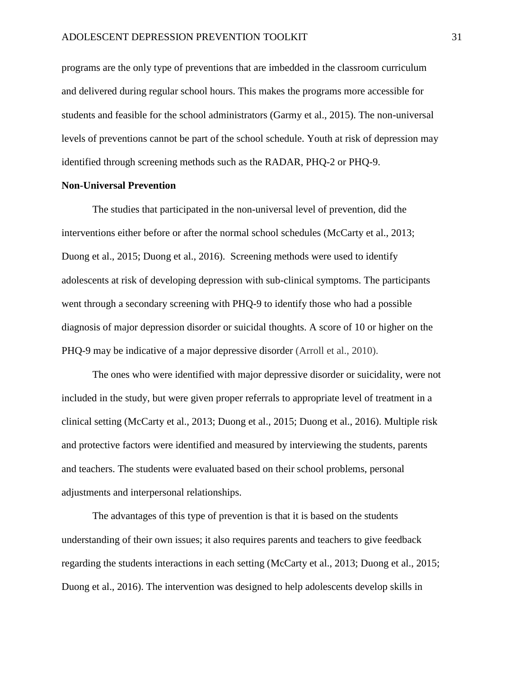programs are the only type of preventions that are imbedded in the classroom curriculum and delivered during regular school hours. This makes the programs more accessible for students and feasible for the school administrators (Garmy et al., 2015). The non-universal levels of preventions cannot be part of the school schedule. Youth at risk of depression may identified through screening methods such as the RADAR, PHQ-2 or PHQ-9.

#### **Non-Universal Prevention**

The studies that participated in the non-universal level of prevention, did the interventions either before or after the normal school schedules (McCarty et al., 2013; Duong et al., 2015; Duong et al., 2016). Screening methods were used to identify adolescents at risk of developing depression with sub-clinical symptoms. The participants went through a secondary screening with PHQ-9 to identify those who had a possible diagnosis of major depression disorder or suicidal thoughts. A score of 10 or higher on the PHQ-9 may be indicative of a major depressive disorder (Arroll et al., 2010).

The ones who were identified with major depressive disorder or suicidality, were not included in the study, but were given proper referrals to appropriate level of treatment in a clinical setting (McCarty et al., 2013; Duong et al., 2015; Duong et al., 2016). Multiple risk and protective factors were identified and measured by interviewing the students, parents and teachers. The students were evaluated based on their school problems, personal adjustments and interpersonal relationships.

The advantages of this type of prevention is that it is based on the students understanding of their own issues; it also requires parents and teachers to give feedback regarding the students interactions in each setting (McCarty et al., 2013; Duong et al., 2015; Duong et al., 2016). The intervention was designed to help adolescents develop skills in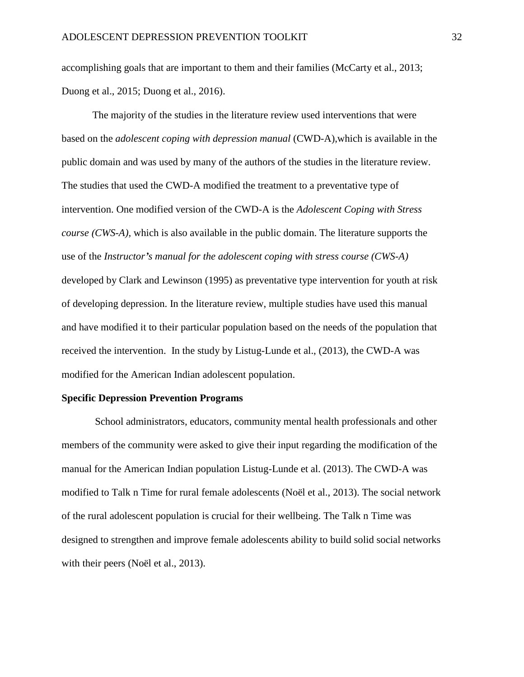accomplishing goals that are important to them and their families (McCarty et al., 2013; Duong et al., 2015; Duong et al., 2016).

The majority of the studies in the literature review used interventions that were based on the *adolescent coping with depression manual* (CWD-A),which is available in the public domain and was used by many of the authors of the studies in the literature review. The studies that used the CWD-A modified the treatment to a preventative type of intervention. One modified version of the CWD-A is the *Adolescent Coping with Stress course (CWS-A),* which is also available in the public domain. The literature supports the use of the *Instructor's manual for the adolescent coping with stress course (CWS-A)* developed by Clark and Lewinson (1995) as preventative type intervention for youth at risk of developing depression. In the literature review, multiple studies have used this manual and have modified it to their particular population based on the needs of the population that received the intervention. In the study by Listug-Lunde et al., (2013), the CWD-A was modified for the American Indian adolescent population.

#### **Specific Depression Prevention Programs**

School administrators, educators, community mental health professionals and other members of the community were asked to give their input regarding the modification of the manual for the American Indian population Listug-Lunde et al. (2013). The CWD-A was modified to Talk n Time for rural female adolescents (Noël et al., 2013). The social network of the rural adolescent population is crucial for their wellbeing. The Talk n Time was designed to strengthen and improve female adolescents ability to build solid social networks with their peers (Noël et al., 2013).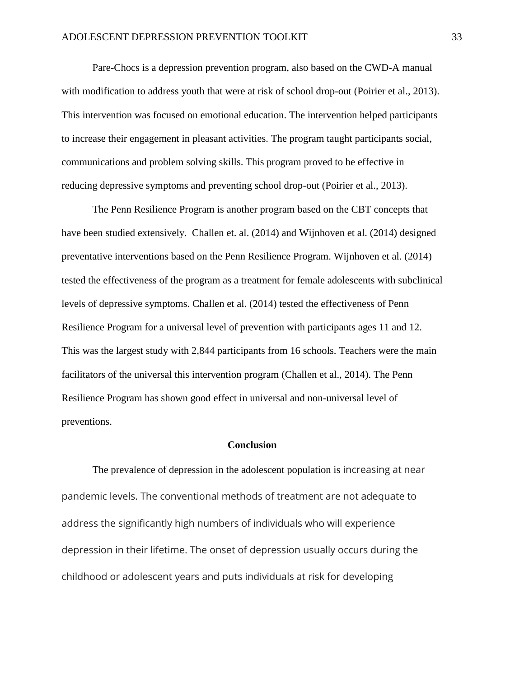Pare-Chocs is a depression prevention program, also based on the CWD-A manual with modification to address youth that were at risk of school drop-out (Poirier et al., 2013). This intervention was focused on emotional education. The intervention helped participants to increase their engagement in pleasant activities. The program taught participants social, communications and problem solving skills. This program proved to be effective in reducing depressive symptoms and preventing school drop-out (Poirier et al., 2013).

The Penn Resilience Program is another program based on the CBT concepts that have been studied extensively. Challen et. al. (2014) and Wijnhoven et al. (2014) designed preventative interventions based on the Penn Resilience Program. Wijnhoven et al. (2014) tested the effectiveness of the program as a treatment for female adolescents with subclinical levels of depressive symptoms. Challen et al. (2014) tested the effectiveness of Penn Resilience Program for a universal level of prevention with participants ages 11 and 12. This was the largest study with 2,844 participants from 16 schools. Teachers were the main facilitators of the universal this intervention program (Challen et al., 2014). The Penn Resilience Program has shown good effect in universal and non-universal level of preventions.

#### **Conclusion**

The prevalence of depression in the adolescent population is increasing at near pandemic levels. The conventional methods of treatment are not adequate to address the significantly high numbers of individuals who will experience depression in their lifetime. The onset of depression usually occurs during the childhood or adolescent years and puts individuals at risk for developing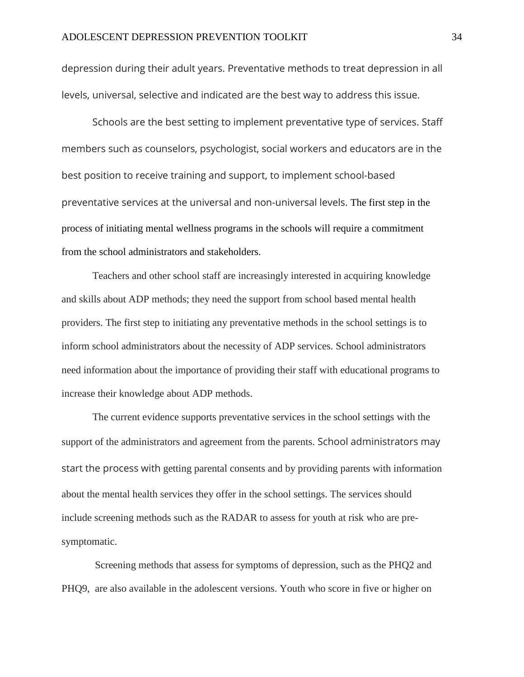depression during their adult years. Preventative methods to treat depression in all levels, universal, selective and indicated are the best way to address this issue.

Schools are the best setting to implement preventative type of services. Staff members such as counselors, psychologist, social workers and educators are in the best position to receive training and support, to implement school-based preventative services at the universal and non-universal levels. The first step in the process of initiating mental wellness programs in the schools will require a commitment from the school administrators and stakeholders.

Teachers and other school staff are increasingly interested in acquiring knowledge and skills about ADP methods; they need the support from school based mental health providers. The first step to initiating any preventative methods in the school settings is to inform school administrators about the necessity of ADP services. School administrators need information about the importance of providing their staff with educational programs to increase their knowledge about ADP methods.

The current evidence supports preventative services in the school settings with the support of the administrators and agreement from the parents. School administrators may start the process with getting parental consents and by providing parents with information about the mental health services they offer in the school settings. The services should include screening methods such as the RADAR to assess for youth at risk who are presymptomatic.

Screening methods that assess for symptoms of depression, such as the PHQ2 and PHQ9, are also available in the adolescent versions. Youth who score in five or higher on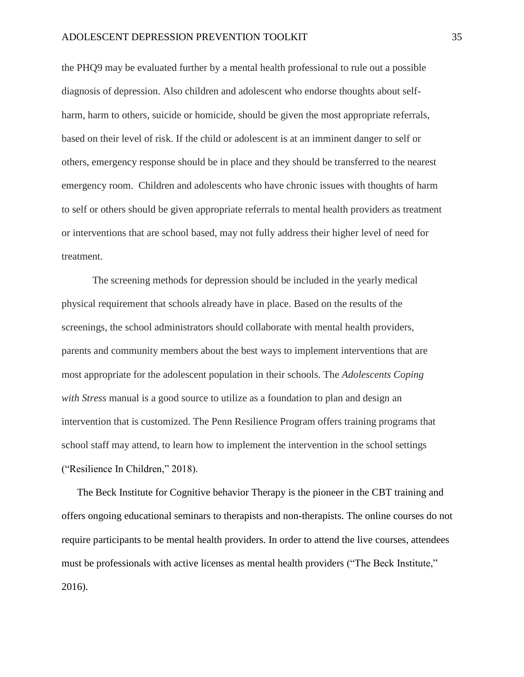the PHQ9 may be evaluated further by a mental health professional to rule out a possible diagnosis of depression. Also children and adolescent who endorse thoughts about selfharm, harm to others, suicide or homicide, should be given the most appropriate referrals, based on their level of risk. If the child or adolescent is at an imminent danger to self or others, emergency response should be in place and they should be transferred to the nearest emergency room. Children and adolescents who have chronic issues with thoughts of harm to self or others should be given appropriate referrals to mental health providers as treatment or interventions that are school based, may not fully address their higher level of need for treatment.

The screening methods for depression should be included in the yearly medical physical requirement that schools already have in place. Based on the results of the screenings, the school administrators should collaborate with mental health providers, parents and community members about the best ways to implement interventions that are most appropriate for the adolescent population in their schools. The *Adolescents Coping with Stress* manual is a good source to utilize as a foundation to plan and design an intervention that is customized. The Penn Resilience Program offers training programs that school staff may attend, to learn how to implement the intervention in the school settings ("Resilience In Children," 2018).

The Beck Institute for Cognitive behavior Therapy is the pioneer in the CBT training and offers ongoing educational seminars to therapists and non-therapists. The online courses do not require participants to be mental health providers. In order to attend the live courses, attendees must be professionals with active licenses as mental health providers ("The Beck Institute," 2016).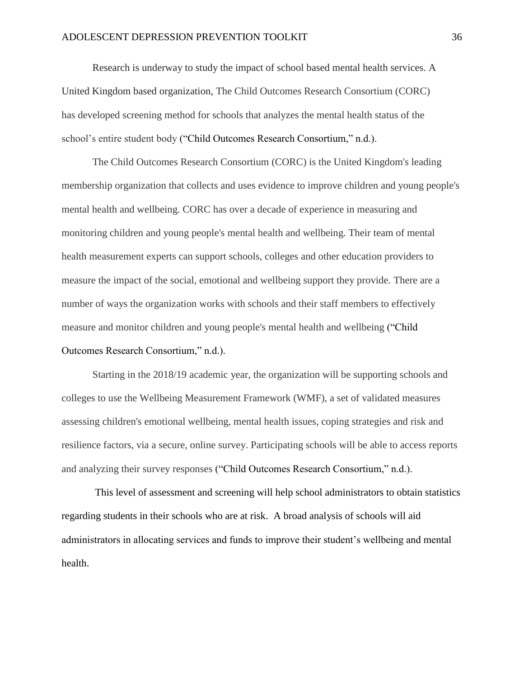Research is underway to study the impact of school based mental health services. A United Kingdom based organization, The Child Outcomes Research Consortium (CORC) has developed screening method for schools that analyzes the mental health status of the school's entire student body ("Child Outcomes Research Consortium," n.d.).

The Child Outcomes Research Consortium (CORC) is the United Kingdom's leading membership organization that collects and uses evidence to improve children and young people's mental health and wellbeing. CORC has over a decade of experience in measuring and monitoring children and young people's mental health and wellbeing. Their team of mental health measurement experts can support schools, colleges and other education providers to measure the impact of the social, emotional and wellbeing support they provide. There are a number of ways the organization works with schools and their staff members to effectively measure and monitor children and young people's mental health and wellbeing ("Child Outcomes Research Consortium," n.d.).

Starting in the 2018/19 academic year, the organization will be supporting schools and colleges to use the Wellbeing Measurement Framework (WMF), a set of validated measures assessing children's emotional wellbeing, mental health issues, coping strategies and risk and resilience factors, via a secure, online survey. Participating schools will be able to access reports and analyzing their survey responses ("Child Outcomes Research Consortium," n.d.).

This level of assessment and screening will help school administrators to obtain statistics regarding students in their schools who are at risk. A broad analysis of schools will aid administrators in allocating services and funds to improve their student's wellbeing and mental health.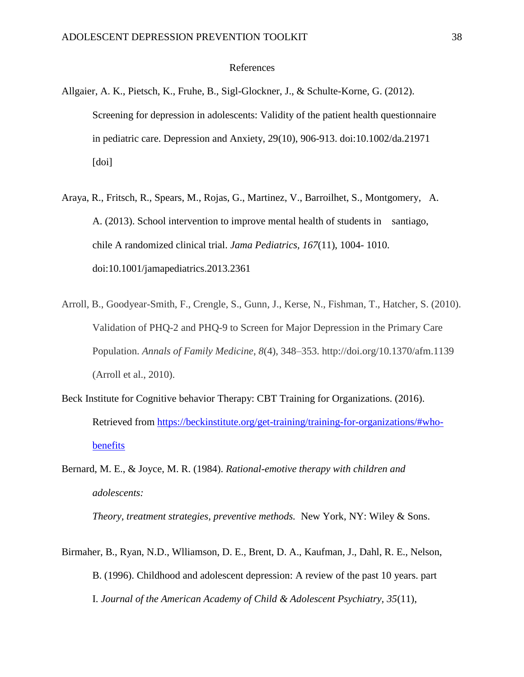#### References

- Allgaier, A. K., Pietsch, K., Fruhe, B., Sigl-Glockner, J., & Schulte-Korne, G. (2012). Screening for depression in adolescents: Validity of the patient health questionnaire in pediatric care. Depression and Anxiety, 29(10), 906-913. doi:10.1002/da.21971 [doi]
- Araya, R., Fritsch, R., Spears, M., Rojas, G., Martinez, V., Barroilhet, S., Montgomery, A. A. (2013). School intervention to improve mental health of students in santiago, chile A randomized clinical trial. *Jama Pediatrics, 167*(11), 1004- 1010. doi:10.1001/jamapediatrics.2013.2361
- Arroll, B., Goodyear-Smith, F., Crengle, S., Gunn, J., Kerse, N., Fishman, T., Hatcher, S. (2010). Validation of PHQ-2 and PHQ-9 to Screen for Major Depression in the Primary Care Population. *Annals of Family Medicine*, *8*(4), 348–353. http://doi.org/10.1370/afm.1139 (Arroll et al., 2010).
- Beck Institute for Cognitive behavior Therapy: CBT Training for Organizations. (2016). Retrieved from [https://beckinstitute.org/get-training/training-for-organizations/#who](https://beckinstitute.org/get-training/training-for-organizations/#who-benefits)[benefits](https://beckinstitute.org/get-training/training-for-organizations/#who-benefits)
- Bernard, M. E., & Joyce, M. R. (1984). *Rational-emotive therapy with children and adolescents:*

*Theory, treatment strategies, preventive methods.* New York, NY: Wiley & Sons.

Birmaher, B., Ryan, N.D., Wlliamson, D. E., Brent, D. A., Kaufman, J., Dahl, R. E., Nelson, B. (1996). Childhood and adolescent depression: A review of the past 10 years. part I. *Journal of the American Academy of Child & Adolescent Psychiatry, 35*(11),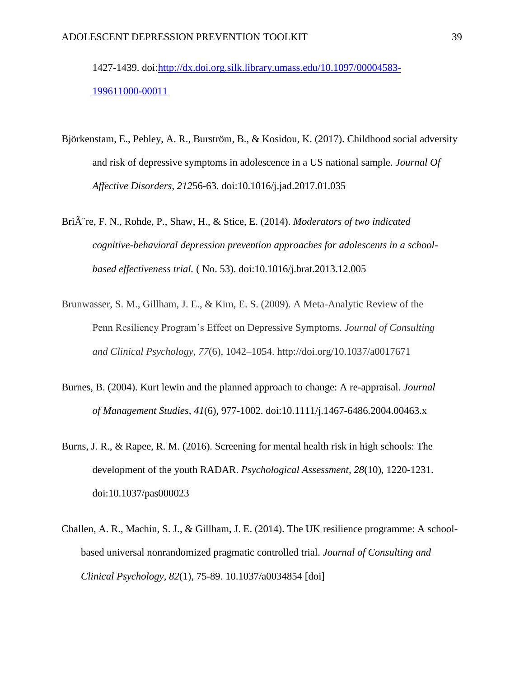1427-1439. doi[:http://dx.doi.org.silk.library.umass.edu/10.1097/00004583-](http://dx.doi.org.silk.library.umass.edu/10.1097/00004583-199611000-00011) [199611000-00011](http://dx.doi.org.silk.library.umass.edu/10.1097/00004583-199611000-00011)

- Björkenstam, E., Pebley, A. R., Burström, B., & Kosidou, K. (2017). Childhood social adversity and risk of depressive symptoms in adolescence in a US national sample. *Journal Of Affective Disorders*, *212*56-63. doi:10.1016/j.jad.2017.01.035
- Bri $\hat{A}$  re, F. N., Rohde, P., Shaw, H., & Stice, E. (2014). *Moderators of two indicated cognitive-behavioral depression prevention approaches for adolescents in a schoolbased effectiveness trial.* ( No. 53). doi:10.1016/j.brat.2013.12.005
- Brunwasser, S. M., Gillham, J. E., & Kim, E. S. (2009). A Meta-Analytic Review of the Penn Resiliency Program's Effect on Depressive Symptoms. *Journal of Consulting and Clinical Psychology*, *77*(6), 1042–1054. http://doi.org/10.1037/a0017671
- Burnes, B. (2004). Kurt lewin and the planned approach to change: A re-appraisal. *Journal of Management Studies, 41*(6), 977-1002. doi:10.1111/j.1467-6486.2004.00463.x
- Burns, J. R., & Rapee, R. M. (2016). Screening for mental health risk in high schools: The development of the youth RADAR. *Psychological Assessment, 28*(10), 1220-1231. doi:10.1037/pas000023
- Challen, A. R., Machin, S. J., & Gillham, J. E. (2014). The UK resilience programme: A schoolbased universal nonrandomized pragmatic controlled trial. *Journal of Consulting and Clinical Psychology, 82*(1), 75-89. 10.1037/a0034854 [doi]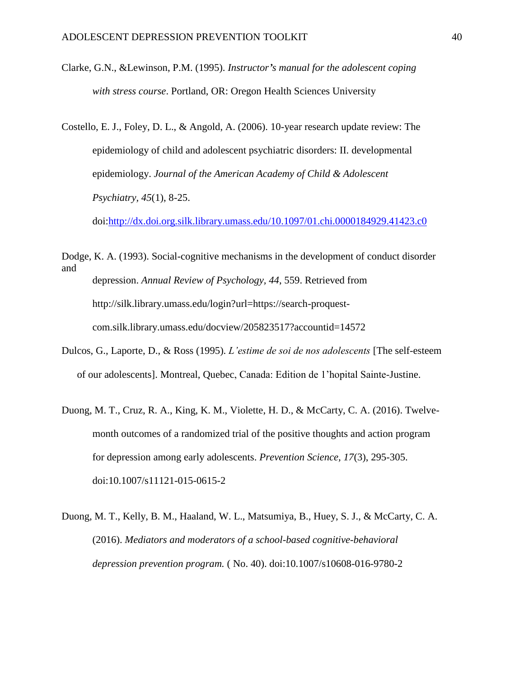- Clarke, G.N., &Lewinson, P.M. (1995). *Instructor's manual for the adolescent coping with stress course*. Portland, OR: Oregon Health Sciences University
- Costello, E. J., Foley, D. L., & Angold, A. (2006). 10-year research update review: The epidemiology of child and adolescent psychiatric disorders: II. developmental epidemiology. *Journal of the American Academy of Child & Adolescent Psychiatry, 45*(1), 8-25.

doi[:http://dx.doi.org.silk.library.umass.edu/10.1097/01.chi.0000184929.41423.c0](http://dx.doi.org.silk.library.umass.edu/10.1097/01.chi.0000184929.41423.c0)

Dodge, K. A. (1993). Social-cognitive mechanisms in the development of conduct disorder and depression. *Annual Review of Psychology, 44*, 559. Retrieved from http://silk.library.umass.edu/login?url=https://search-proquestcom.silk.library.umass.edu/docview/205823517?accountid=14572

- Dulcos, G., Laporte, D., & Ross (1995). *L'estime de soi de nos adolescents* [The self-esteem of our adolescents]. Montreal, Quebec, Canada: Edition de 1'hopital Sainte-Justine.
- Duong, M. T., Cruz, R. A., King, K. M., Violette, H. D., & McCarty, C. A. (2016). Twelvemonth outcomes of a randomized trial of the positive thoughts and action program for depression among early adolescents. *Prevention Science, 17*(3), 295-305. doi:10.1007/s11121-015-0615-2
- Duong, M. T., Kelly, B. M., Haaland, W. L., Matsumiya, B., Huey, S. J., & McCarty, C. A. (2016). *Mediators and moderators of a school-based cognitive-behavioral depression prevention program.* ( No. 40). doi:10.1007/s10608-016-9780-2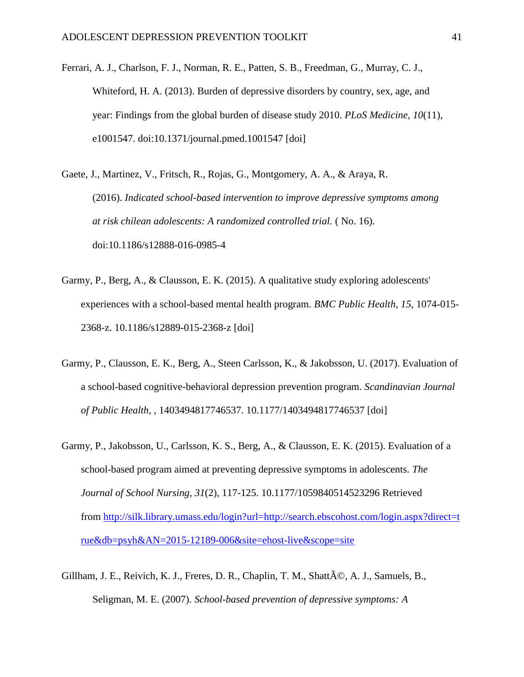- Ferrari, A. J., Charlson, F. J., Norman, R. E., Patten, S. B., Freedman, G., Murray, C. J., Whiteford, H. A. (2013). Burden of depressive disorders by country, sex, age, and year: Findings from the global burden of disease study 2010. *PLoS Medicine, 10*(11), e1001547. doi:10.1371/journal.pmed.1001547 [doi]
- Gaete, J., Martinez, V., Fritsch, R., Rojas, G., Montgomery, A. A., & Araya, R. (2016). *Indicated school-based intervention to improve depressive symptoms among at risk chilean adolescents: A randomized controlled trial.* ( No. 16). doi:10.1186/s12888-016-0985-4
- Garmy, P., Berg, A., & Clausson, E. K. (2015). A qualitative study exploring adolescents' experiences with a school-based mental health program. *BMC Public Health, 15*, 1074-015- 2368-z. 10.1186/s12889-015-2368-z [doi]
- Garmy, P., Clausson, E. K., Berg, A., Steen Carlsson, K., & Jakobsson, U. (2017). Evaluation of a school-based cognitive-behavioral depression prevention program. *Scandinavian Journal of Public Health,* , 1403494817746537. 10.1177/1403494817746537 [doi]
- Garmy, P., Jakobsson, U., Carlsson, K. S., Berg, A., & Clausson, E. K. (2015). Evaluation of a school-based program aimed at preventing depressive symptoms in adolescents. *The Journal of School Nursing, 31*(2), 117-125. 10.1177/1059840514523296 Retrieved from [http://silk.library.umass.edu/login?url=http://search.ebscohost.com/login.aspx?direct=t](http://silk.library.umass.edu/login?url=http://search.ebscohost.com/login.aspx?direct=true&db=psyh&AN=2015-12189-006&site=ehost-live&scope=site) [rue&db=psyh&AN=2015-12189-006&site=ehost-live&scope=site](http://silk.library.umass.edu/login?url=http://search.ebscohost.com/login.aspx?direct=true&db=psyh&AN=2015-12189-006&site=ehost-live&scope=site)
- Gillham, J. E., Reivich, K. J., Freres, D. R., Chaplin, T. M., Shatt $\tilde{A}$ ©, A. J., Samuels, B., Seligman, M. E. (2007). *School-based prevention of depressive symptoms: A*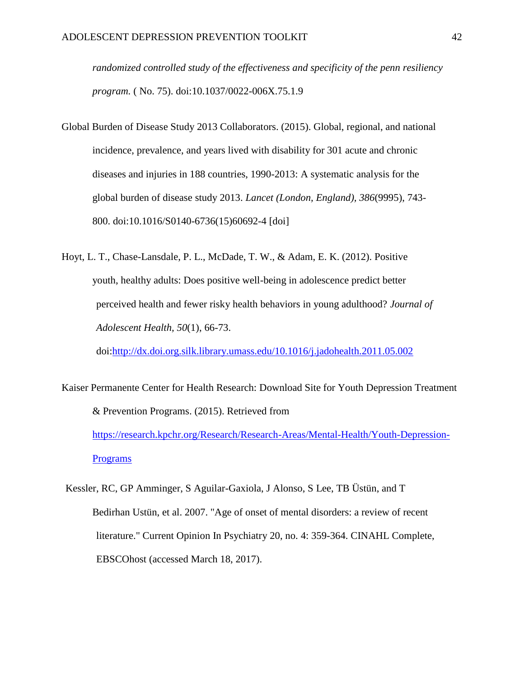*randomized controlled study of the effectiveness and specificity of the penn resiliency program.* ( No. 75). doi:10.1037/0022-006X.75.1.9

- Global Burden of Disease Study 2013 Collaborators. (2015). Global, regional, and national incidence, prevalence, and years lived with disability for 301 acute and chronic diseases and injuries in 188 countries, 1990-2013: A systematic analysis for the global burden of disease study 2013. *Lancet (London, England), 386*(9995), 743- 800. doi:10.1016/S0140-6736(15)60692-4 [doi]
- Hoyt, L. T., Chase-Lansdale, P. L., McDade, T. W., & Adam, E. K. (2012). Positive youth, healthy adults: Does positive well-being in adolescence predict better perceived health and fewer risky health behaviors in young adulthood? *Journal of Adolescent Health, 50*(1), 66-73.

doi[:http://dx.doi.org.silk.library.umass.edu/10.1016/j.jadohealth.2011.05.002](http://dx.doi.org.silk.library.umass.edu/10.1016/j.jadohealth.2011.05.002)

- Kaiser Permanente Center for Health Research: Download Site for Youth Depression Treatment & Prevention Programs. (2015). Retrieved from [https://research.kpchr.org/Research/Research-Areas/Mental-Health/Youth-Depression-](https://research.kpchr.org/Research/Research-Areas/Mental-Health/Youth-Depression-Programs)[Programs](https://research.kpchr.org/Research/Research-Areas/Mental-Health/Youth-Depression-Programs)
- Kessler, RC, GP Amminger, S Aguilar-Gaxiola, J Alonso, S Lee, TB Üstün, and T Bedirhan Ustün, et al. 2007. "Age of onset of mental disorders: a review of recent literature." Current Opinion In Psychiatry 20, no. 4: 359-364. CINAHL Complete, EBSCOhost (accessed March 18, 2017).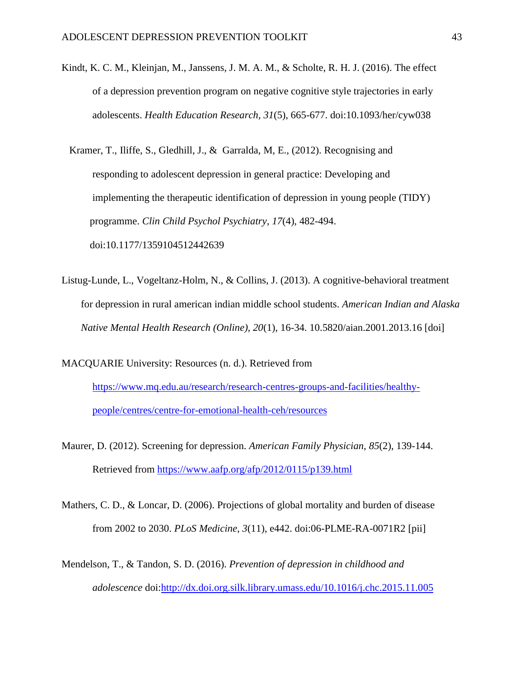Kindt, K. C. M., Kleinjan, M., Janssens, J. M. A. M., & Scholte, R. H. J. (2016). The effect of a depression prevention program on negative cognitive style trajectories in early adolescents. *Health Education Research, 31*(5), 665-677. doi:10.1093/her/cyw038

 Kramer, T., Iliffe, S., Gledhill, J., & Garralda, M, E., (2012). Recognising and responding to adolescent depression in general practice: Developing and implementing the therapeutic identification of depression in young people (TIDY) programme. *Clin Child Psychol Psychiatry, 17*(4), 482-494. doi:10.1177/1359104512442639

Listug-Lunde, L., Vogeltanz-Holm, N., & Collins, J. (2013). A cognitive-behavioral treatment for depression in rural american indian middle school students. *American Indian and Alaska Native Mental Health Research (Online), 20*(1), 16-34. 10.5820/aian.2001.2013.16 [doi]

MACQUARIE University: Resources (n. d.). Retrieved from [https://www.mq.edu.au/research/research-centres-groups-and-facilities/healthy](https://www.mq.edu.au/research/research-centres-groups-and-facilities/healthy-people/centres/centre-for-emotional-health-ceh/resources)[people/centres/centre-for-emotional-health-ceh/resources](https://www.mq.edu.au/research/research-centres-groups-and-facilities/healthy-people/centres/centre-for-emotional-health-ceh/resources)

Maurer, D. (2012). Screening for depression. *American Family Physician, 85*(2), 139-144. Retrieved from<https://www.aafp.org/afp/2012/0115/p139.html>

Mathers, C. D., & Loncar, D. (2006). Projections of global mortality and burden of disease from 2002 to 2030. *PLoS Medicine, 3*(11), e442. doi:06-PLME-RA-0071R2 [pii]

Mendelson, T., & Tandon, S. D. (2016). *Prevention of depression in childhood and adolescence* doi[:http://dx.doi.org.silk.library.umass.edu/10.1016/j.chc.2015.11.005](http://dx.doi.org.silk.library.umass.edu/10.1016/j.chc.2015.11.005)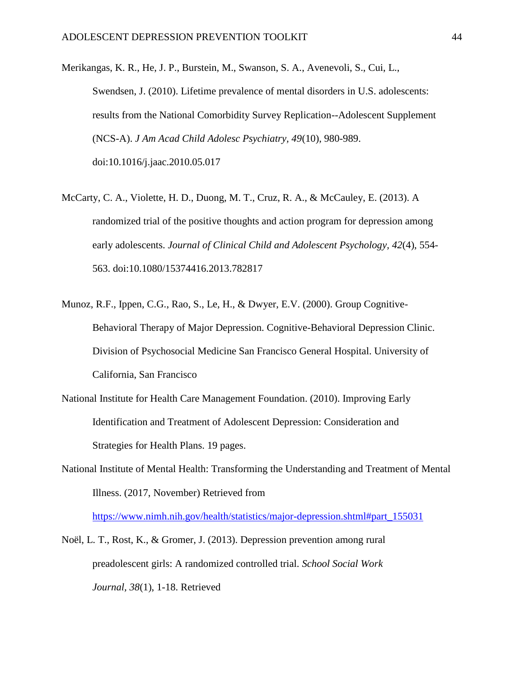Merikangas, K. R., He, J. P., Burstein, M., Swanson, S. A., Avenevoli, S., Cui, L., Swendsen, J. (2010). Lifetime prevalence of mental disorders in U.S. adolescents: results from the National Comorbidity Survey Replication--Adolescent Supplement (NCS-A). *J Am Acad Child Adolesc Psychiatry, 49*(10), 980-989. doi:10.1016/j.jaac.2010.05.017

- McCarty, C. A., Violette, H. D., Duong, M. T., Cruz, R. A., & McCauley, E. (2013). A randomized trial of the positive thoughts and action program for depression among early adolescents. *Journal of Clinical Child and Adolescent Psychology, 42*(4), 554- 563. doi:10.1080/15374416.2013.782817
- Munoz, R.F., Ippen, C.G., Rao, S., Le, H., & Dwyer, E.V. (2000). Group Cognitive-Behavioral Therapy of Major Depression. Cognitive-Behavioral Depression Clinic. Division of Psychosocial Medicine San Francisco General Hospital. University of California, San Francisco
- National Institute for Health Care Management Foundation. (2010). Improving Early Identification and Treatment of Adolescent Depression: Consideration and Strategies for Health Plans. 19 pages.
- National Institute of Mental Health: Transforming the Understanding and Treatment of Mental Illness. (2017, November) Retrieved from

[https://www.nimh.nih.gov/health/statistics/major-depression.shtml#part\\_155031](https://www.nimh.nih.gov/health/statistics/major-depression.shtml#part_155031)

Noël, L. T., Rost, K., & Gromer, J. (2013). Depression prevention among rural preadolescent girls: A randomized controlled trial. *School Social Work Journal, 38*(1), 1-18. Retrieved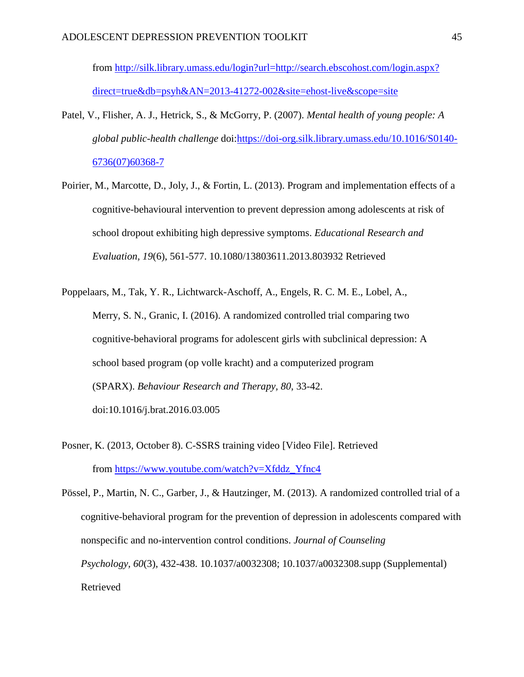from [http://silk.library.umass.edu/login?url=http://search.ebscohost.com/login.aspx?](http://silk.library.umass.edu/login?url=http://search.ebscohost.com/login.aspx?direct=true&db=psyh&AN=2013-41272-002&site=ehost-live&scope=site) [direct=true&db=psyh&AN=2013-41272-002&site=ehost-live&scope=site](http://silk.library.umass.edu/login?url=http://search.ebscohost.com/login.aspx?direct=true&db=psyh&AN=2013-41272-002&site=ehost-live&scope=site)

- Patel, V., Flisher, A. J., Hetrick, S., & McGorry, P. (2007). *Mental health of young people: A global public-health challenge* doi[:https://doi-org.silk.library.umass.edu/10.1016/S0140-](https://doi-org.silk.library.umass.edu/10.1016/S0140-6736(07)60368-7) [6736\(07\)60368-7](https://doi-org.silk.library.umass.edu/10.1016/S0140-6736(07)60368-7)
- Poirier, M., Marcotte, D., Joly, J., & Fortin, L. (2013). Program and implementation effects of a cognitive-behavioural intervention to prevent depression among adolescents at risk of school dropout exhibiting high depressive symptoms. *Educational Research and Evaluation, 19*(6), 561-577. 10.1080/13803611.2013.803932 Retrieved

Poppelaars, M., Tak, Y. R., Lichtwarck-Aschoff, A., Engels, R. C. M. E., Lobel, A., Merry, S. N., Granic, I. (2016). A randomized controlled trial comparing two cognitive-behavioral programs for adolescent girls with subclinical depression: A school based program (op volle kracht) and a computerized program (SPARX). *Behaviour Research and Therapy, 80*, 33-42. doi:10.1016/j.brat.2016.03.005

Posner, K. (2013, October 8). C-SSRS training video [Video File]. Retrieved from [https://www.youtube.com/watch?v=Xfddz\\_Yfnc4](https://www.youtube.com/watch?v=Xfddz_Yfnc4)

Pössel, P., Martin, N. C., Garber, J., & Hautzinger, M. (2013). A randomized controlled trial of a cognitive-behavioral program for the prevention of depression in adolescents compared with nonspecific and no-intervention control conditions. *Journal of Counseling Psychology, 60*(3), 432-438. 10.1037/a0032308; 10.1037/a0032308.supp (Supplemental) Retrieved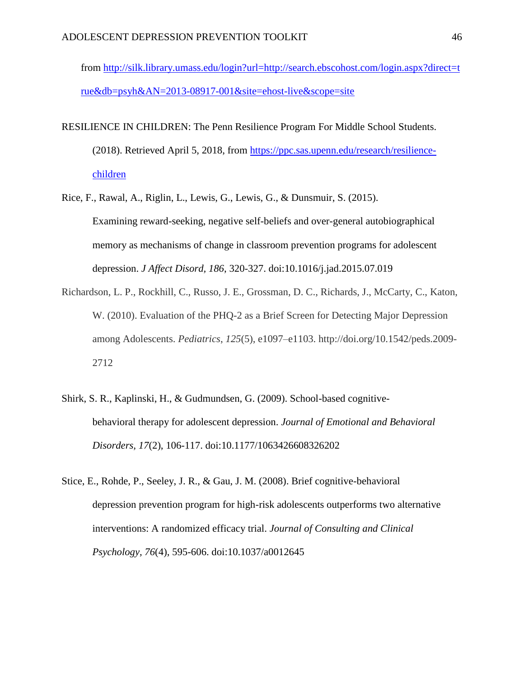from [http://silk.library.umass.edu/login?url=http://search.ebscohost.com/login.aspx?direct=t](http://silk.library.umass.edu/login?url=http://search.ebscohost.com/login.aspx?direct=true&db=psyh&AN=2013-08917-001&site=ehost-live&scope=site) [rue&db=psyh&AN=2013-08917-001&site=ehost-live&scope=site](http://silk.library.umass.edu/login?url=http://search.ebscohost.com/login.aspx?direct=true&db=psyh&AN=2013-08917-001&site=ehost-live&scope=site)

- RESILIENCE IN CHILDREN: The Penn Resilience Program For Middle School Students. (2018). Retrieved April 5, 2018, from [https://ppc.sas.upenn.edu/research/resilience](https://ppc.sas.upenn.edu/research/resilience-children)[children](https://ppc.sas.upenn.edu/research/resilience-children)
- Rice, F., Rawal, A., Riglin, L., Lewis, G., Lewis, G., & Dunsmuir, S. (2015). Examining reward-seeking, negative self-beliefs and over-general autobiographical memory as mechanisms of change in classroom prevention programs for adolescent depression. *J Affect Disord, 186*, 320-327. doi:10.1016/j.jad.2015.07.019
- Richardson, L. P., Rockhill, C., Russo, J. E., Grossman, D. C., Richards, J., McCarty, C., Katon, W. (2010). Evaluation of the PHQ-2 as a Brief Screen for Detecting Major Depression among Adolescents. *Pediatrics*, *125*(5), e1097–e1103. http://doi.org/10.1542/peds.2009- 2712
- Shirk, S. R., Kaplinski, H., & Gudmundsen, G. (2009). School-based cognitivebehavioral therapy for adolescent depression. *Journal of Emotional and Behavioral Disorders, 17*(2), 106-117. doi:10.1177/1063426608326202
- Stice, E., Rohde, P., Seeley, J. R., & Gau, J. M. (2008). Brief cognitive-behavioral depression prevention program for high-risk adolescents outperforms two alternative interventions: A randomized efficacy trial. *Journal of Consulting and Clinical Psychology, 76*(4), 595-606. doi:10.1037/a0012645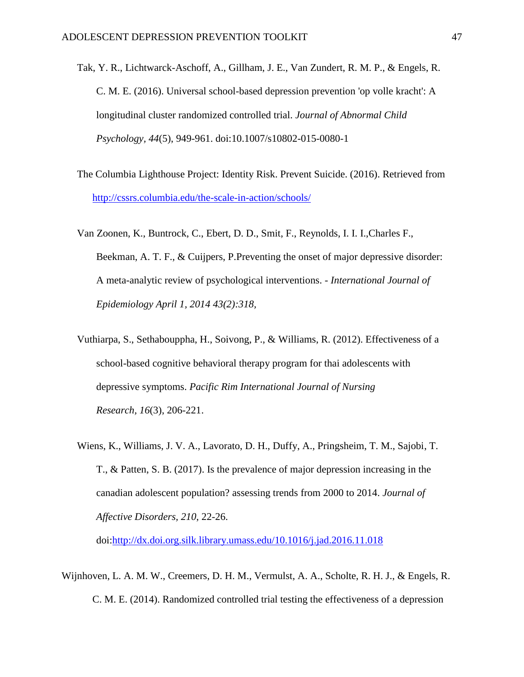- Tak, Y. R., Lichtwarck-Aschoff, A., Gillham, J. E., Van Zundert, R. M. P., & Engels, R. C. M. E. (2016). Universal school-based depression prevention 'op volle kracht': A longitudinal cluster randomized controlled trial. *Journal of Abnormal Child Psychology, 44*(5), 949-961. doi:10.1007/s10802-015-0080-1
- The Columbia Lighthouse Project: Identity Risk. Prevent Suicide. (2016). Retrieved from <http://cssrs.columbia.edu/the-scale-in-action/schools/>
- Van Zoonen, K., Buntrock, C., Ebert, D. D., Smit, F., Reynolds, I. I. I.,Charles F., Beekman, A. T. F., & Cuijpers, P.Preventing the onset of major depressive disorder: A meta-analytic review of psychological interventions. *- International Journal of Epidemiology April 1, 2014 43(2):318,*
- Vuthiarpa, S., Sethabouppha, H., Soivong, P., & Williams, R. (2012). Effectiveness of a school-based cognitive behavioral therapy program for thai adolescents with depressive symptoms. *Pacific Rim International Journal of Nursing Research, 16*(3), 206-221.
- Wiens, K., Williams, J. V. A., Lavorato, D. H., Duffy, A., Pringsheim, T. M., Sajobi, T. T., & Patten, S. B. (2017). Is the prevalence of major depression increasing in the canadian adolescent population? assessing trends from 2000 to 2014. *Journal of Affective Disorders, 210*, 22-26.

doi[:http://dx.doi.org.silk.library.umass.edu/10.1016/j.jad.2016.11.018](http://dx.doi.org.silk.library.umass.edu/10.1016/j.jad.2016.11.018)

Wijnhoven, L. A. M. W., Creemers, D. H. M., Vermulst, A. A., Scholte, R. H. J., & Engels, R. C. M. E. (2014). Randomized controlled trial testing the effectiveness of a depression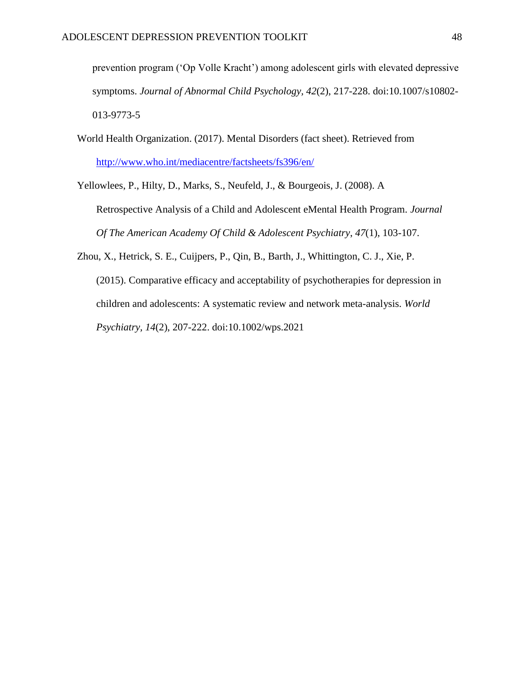prevention program ('Op Volle Kracht') among adolescent girls with elevated depressive symptoms. *Journal of Abnormal Child Psychology, 42*(2), 217-228. doi:10.1007/s10802- 013-9773-5

World Health Organization. (2017). Mental Disorders (fact sheet). Retrieved from <http://www.who.int/mediacentre/factsheets/fs396/en/>

Yellowlees, P., Hilty, D., Marks, S., Neufeld, J., & Bourgeois, J. (2008). A

Retrospective Analysis of a Child and Adolescent eMental Health Program. *Journal Of The American Academy Of Child & Adolescent Psychiatry*, *47*(1), 103-107.

Zhou, X., Hetrick, S. E., Cuijpers, P., Qin, B., Barth, J., Whittington, C. J., Xie, P. (2015). Comparative efficacy and acceptability of psychotherapies for depression in children and adolescents: A systematic review and network meta-analysis. *World Psychiatry, 14*(2), 207-222. doi:10.1002/wps.2021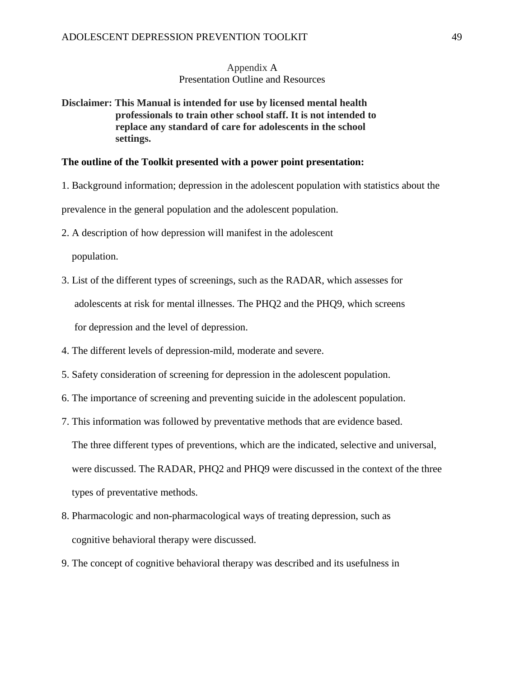## Appendix A Presentation Outline and Resources

**Disclaimer: This Manual is intended for use by licensed mental health professionals to train other school staff. It is not intended to replace any standard of care for adolescents in the school settings.** 

#### **The outline of the Toolkit presented with a power point presentation:**

1. Background information; depression in the adolescent population with statistics about the

prevalence in the general population and the adolescent population.

2. A description of how depression will manifest in the adolescent

population.

- 3. List of the different types of screenings, such as the RADAR, which assesses for adolescents at risk for mental illnesses. The PHQ2 and the PHQ9, which screens for depression and the level of depression.
- 4. The different levels of depression-mild, moderate and severe.
- 5. Safety consideration of screening for depression in the adolescent population.
- 6. The importance of screening and preventing suicide in the adolescent population.
- 7. This information was followed by preventative methods that are evidence based.

The three different types of preventions, which are the indicated, selective and universal, were discussed. The RADAR, PHQ2 and PHQ9 were discussed in the context of the three types of preventative methods.

- 8. Pharmacologic and non-pharmacological ways of treating depression, such as cognitive behavioral therapy were discussed.
- 9. The concept of cognitive behavioral therapy was described and its usefulness in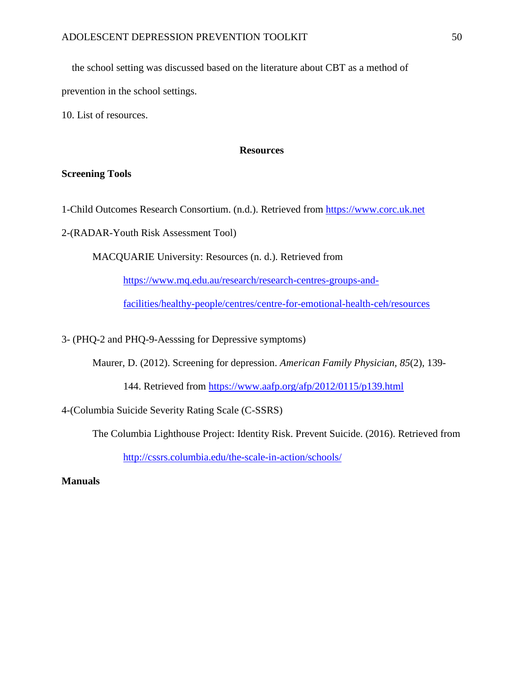the school setting was discussed based on the literature about CBT as a method of prevention in the school settings.

10. List of resources.

## **Resources**

#### **Screening Tools**

1-Child Outcomes Research Consortium. (n.d.). Retrieved from [https://www.corc.uk.net](https://www.corc.uk.net/)

2-(RADAR-Youth Risk Assessment Tool)

MACQUARIE University: Resources (n. d.). Retrieved from

[https://www.mq.edu.au/research/research-centres-groups-and-](https://www.mq.edu.au/research/research-centres-groups-and-facilities/healthy-people/centres/centre-for-emotional-health-ceh/resources)

[facilities/healthy-people/centres/centre-for-emotional-health-ceh/resources](https://www.mq.edu.au/research/research-centres-groups-and-facilities/healthy-people/centres/centre-for-emotional-health-ceh/resources)

3- (PHQ-2 and PHQ-9-Aesssing for Depressive symptoms)

Maurer, D. (2012). Screening for depression. *American Family Physician, 85*(2), 139-

144. Retrieved from<https://www.aafp.org/afp/2012/0115/p139.html>

4-(Columbia Suicide Severity Rating Scale (C-SSRS)

The Columbia Lighthouse Project: Identity Risk. Prevent Suicide. (2016). Retrieved from

<http://cssrs.columbia.edu/the-scale-in-action/schools/>

# **Manuals**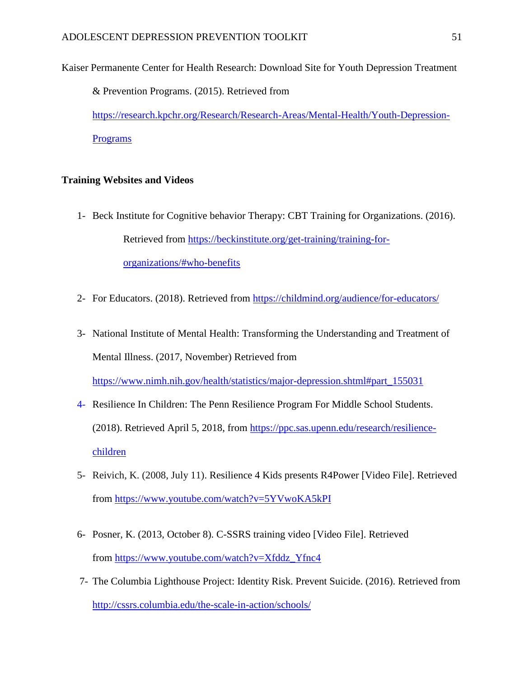Kaiser Permanente Center for Health Research: Download Site for Youth Depression Treatment & Prevention Programs. (2015). Retrieved from [https://research.kpchr.org/Research/Research-Areas/Mental-Health/Youth-Depression-](https://research.kpchr.org/Research/Research-Areas/Mental-Health/Youth-Depression-Programs)[Programs](https://research.kpchr.org/Research/Research-Areas/Mental-Health/Youth-Depression-Programs)

#### **Training Websites and Videos**

- 1- Beck Institute for Cognitive behavior Therapy: CBT Training for Organizations. (2016). Retrieved from [https://beckinstitute.org/get-training/training-for](https://beckinstitute.org/get-training/training-for-organizations/#who-benefits)[organizations/#who-benefits](https://beckinstitute.org/get-training/training-for-organizations/#who-benefits)
- 2- For Educators. (2018). Retrieved from<https://childmind.org/audience/for-educators/>
- 3- National Institute of Mental Health: Transforming the Understanding and Treatment of Mental Illness. (2017, November) Retrieved from

[https://www.nimh.nih.gov/health/statistics/major-depression.shtml#part\\_155031](https://www.nimh.nih.gov/health/statistics/major-depression.shtml#part_155031)

- 4- Resilience In Children: The Penn Resilience Program For Middle School Students. (2018). Retrieved April 5, 2018, from [https://ppc.sas.upenn.edu/research/resilience](https://ppc.sas.upenn.edu/research/resilience-children)[children](https://ppc.sas.upenn.edu/research/resilience-children)
- 5- Reivich, K. (2008, July 11). Resilience 4 Kids presents R4Power [Video File]. Retrieved from<https://www.youtube.com/watch?v=5YVwoKA5kPI>
- 6- Posner, K. (2013, October 8). C-SSRS training video [Video File]. Retrieved from [https://www.youtube.com/watch?v=Xfddz\\_Yfnc4](https://www.youtube.com/watch?v=Xfddz_Yfnc4)
- 7- The Columbia Lighthouse Project: Identity Risk. Prevent Suicide. (2016). Retrieved from <http://cssrs.columbia.edu/the-scale-in-action/schools/>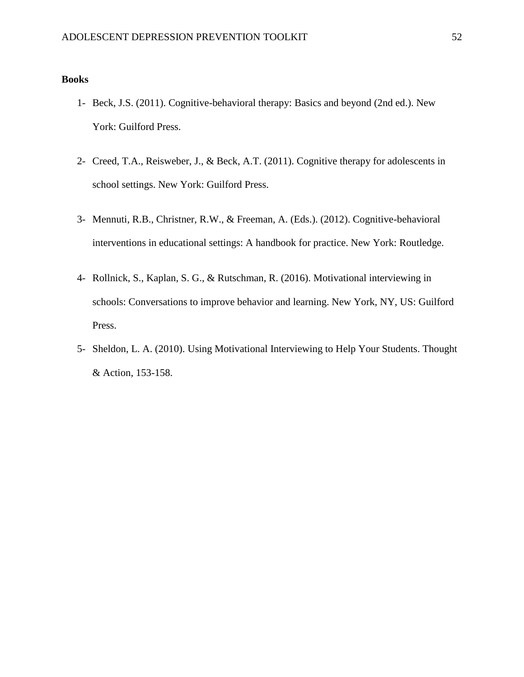#### **Books**

- 1- Beck, J.S. (2011). Cognitive-behavioral therapy: Basics and beyond (2nd ed.). New York: Guilford Press.
- 2- Creed, T.A., Reisweber, J., & Beck, A.T. (2011). Cognitive therapy for adolescents in school settings. New York: Guilford Press.
- 3- Mennuti, R.B., Christner, R.W., & Freeman, A. (Eds.). (2012). Cognitive-behavioral interventions in educational settings: A handbook for practice. New York: Routledge.
- 4- Rollnick, S., Kaplan, S. G., & Rutschman, R. (2016). Motivational interviewing in schools: Conversations to improve behavior and learning. New York, NY, US: Guilford Press.
- 5- Sheldon, L. A. (2010). Using Motivational Interviewing to Help Your Students. Thought & Action, 153-158.